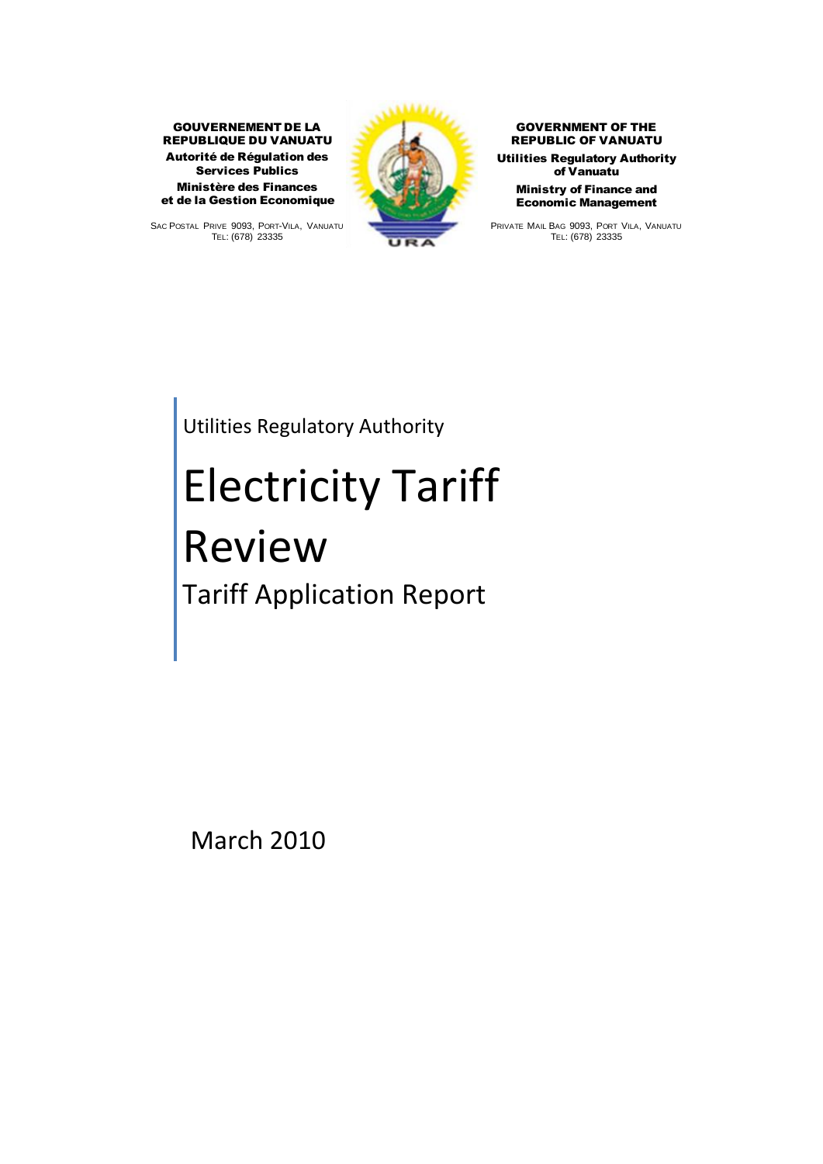Autorité de Régulation des Services Publics GOUVERNEMENT DE LA REPUBLIQUE DU VANUATU Ministère des Finances et de la Gestion Economique

**et de la Gestion Economique<br>SAC POSTAL PRIVE 9093, PORT-VILA, VANUATU<br>TELLÉES 02925** <sup>RIVE 9093, PORT-</sup><br>TEL: (678) 23335



GOVERNMENT OF THE REPUBLIC OF VANUATU Utilities Regulatory Authority of Vanuatu Ministry of Finance and Economic Management **Economic Management**<br>PRIVATE MAIL BAG 9093, PORT VILA, VANUATU

<sup>T</sup>E L: (678) 23335

Utilities Regulatory Authority

# Electricity Tariff Review Tariff Application Report

March 2010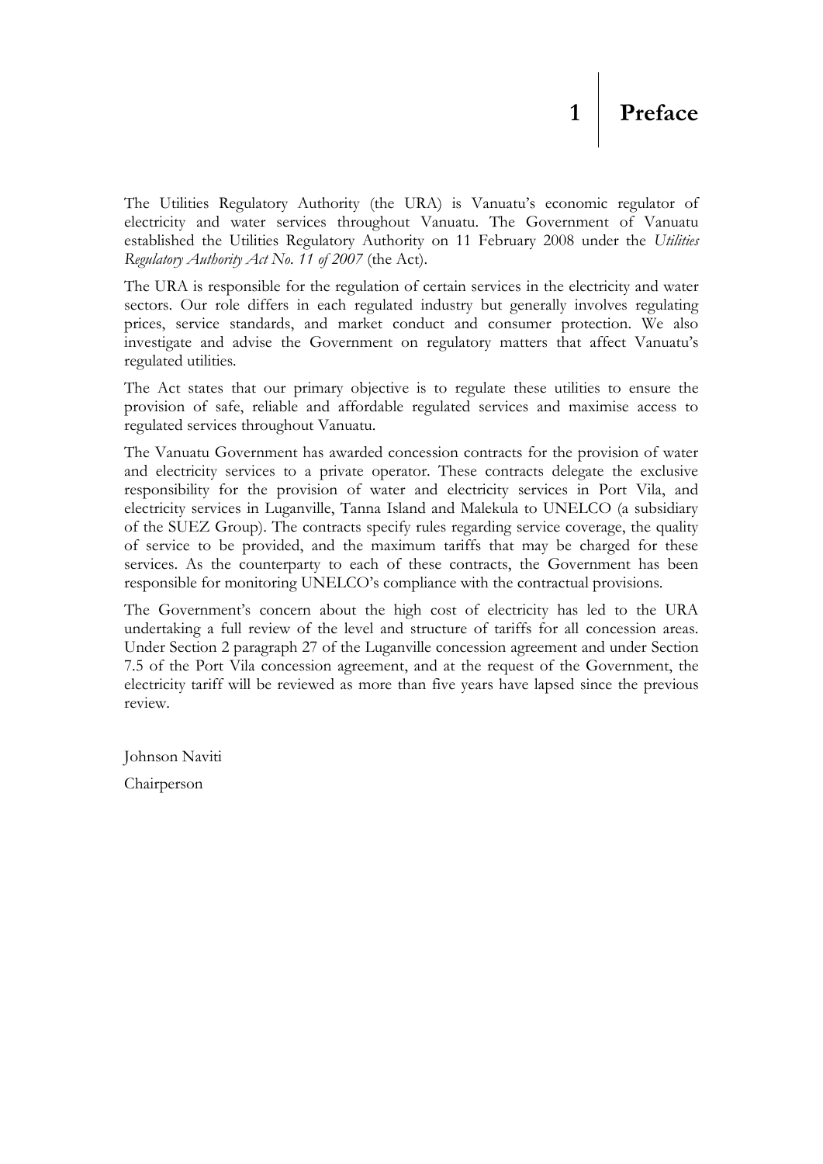<span id="page-1-0"></span>The Utilities Regulatory Authority (the URA) is Vanuatu's economic regulator of electricity and water services throughout Vanuatu. The Government of Vanuatu established the Utilities Regulatory Authority on 11 February 2008 under the *Utilities Regulatory Authority Act No. 11 of 2007* (the Act).

The URA is responsible for the regulation of certain services in the electricity and water sectors. Our role differs in each regulated industry but generally involves regulating prices, service standards, and market conduct and consumer protection. We also investigate and advise the Government on regulatory matters that affect Vanuatu"s regulated utilities*.*

The Act states that our primary objective is to regulate these utilities to ensure the provision of safe, reliable and affordable regulated services and maximise access to regulated services throughout Vanuatu.

The Vanuatu Government has awarded concession contracts for the provision of water and electricity services to a private operator. These contracts delegate the exclusive responsibility for the provision of water and electricity services in Port Vila, and electricity services in Luganville, Tanna Island and Malekula to UNELCO (a subsidiary of the SUEZ Group). The contracts specify rules regarding service coverage, the quality of service to be provided, and the maximum tariffs that may be charged for these services. As the counterparty to each of these contracts, the Government has been responsible for monitoring UNELCO"s compliance with the contractual provisions.

The Government's concern about the high cost of electricity has led to the URA undertaking a full review of the level and structure of tariffs for all concession areas. Under Section 2 paragraph 27 of the Luganville concession agreement and under Section 7.5 of the Port Vila concession agreement, and at the request of the Government, the electricity tariff will be reviewed as more than five years have lapsed since the previous review.

Johnson Naviti

Chairperson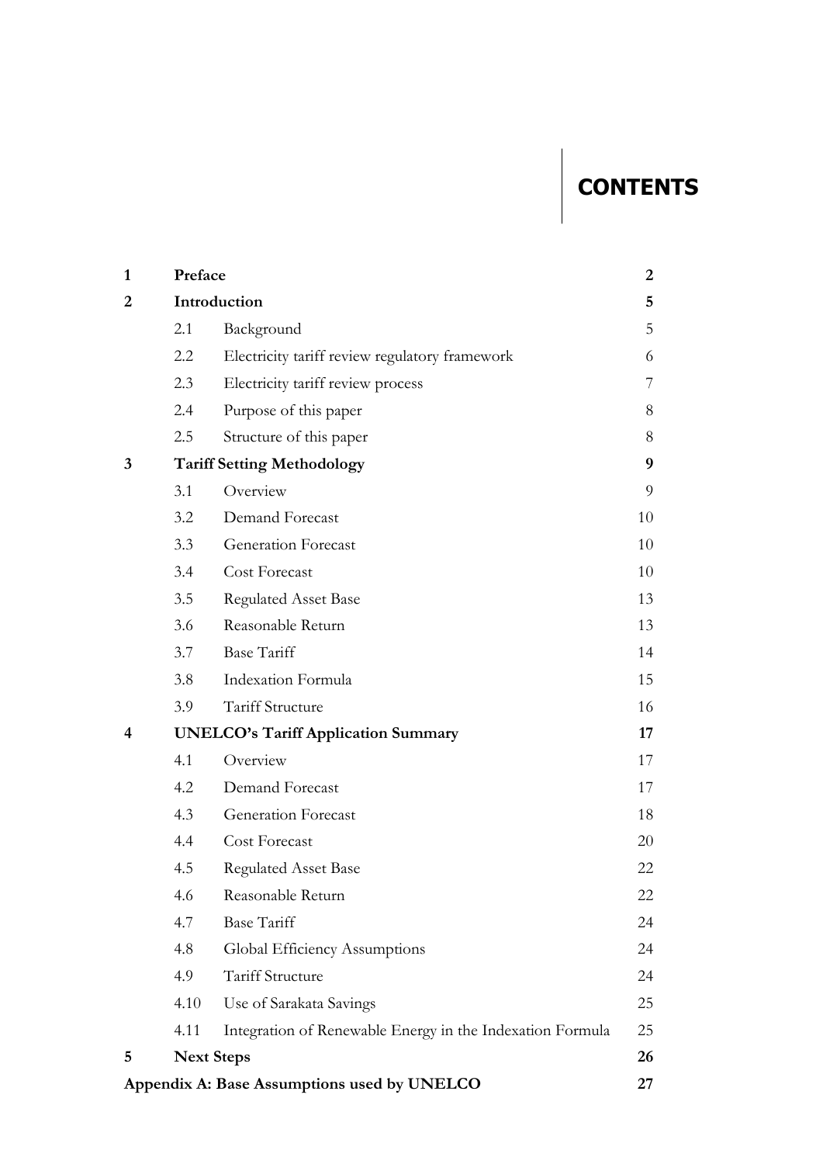# **CONTENTS**

| 1 | Preface |                                                           |    |  |
|---|---------|-----------------------------------------------------------|----|--|
| 2 |         | Introduction                                              |    |  |
|   | 2.1     | Background                                                | 5  |  |
|   | 2.2     | Electricity tariff review regulatory framework            | 6  |  |
|   | 2.3     | Electricity tariff review process                         | 7  |  |
|   | 2.4     | Purpose of this paper                                     | 8  |  |
|   | 2.5     | Structure of this paper                                   | 8  |  |
| 3 |         | <b>Tariff Setting Methodology</b>                         | 9  |  |
|   | 3.1     | Overview                                                  | 9  |  |
|   | 3.2     | Demand Forecast                                           | 10 |  |
|   | 3.3     | <b>Generation Forecast</b>                                | 10 |  |
|   | 3.4     | Cost Forecast                                             | 10 |  |
|   | 3.5     | <b>Regulated Asset Base</b>                               | 13 |  |
|   | 3.6     | Reasonable Return                                         | 13 |  |
|   | 3.7     | <b>Base Tariff</b>                                        | 14 |  |
|   | 3.8     | Indexation Formula                                        | 15 |  |
|   | 3.9     | Tariff Structure                                          | 16 |  |
| 4 |         | <b>UNELCO's Tariff Application Summary</b>                | 17 |  |
|   | 4.1     | Overview                                                  | 17 |  |
|   | 4.2     | Demand Forecast                                           | 17 |  |
|   | 4.3     | Generation Forecast                                       | 18 |  |
|   | 4.4     | Cost Forecast                                             | 20 |  |
|   | 4.5     | <b>Regulated Asset Base</b>                               | 22 |  |
|   | 4.6     | Reasonable Return                                         | 22 |  |
|   | 4.7     | <b>Base Tariff</b>                                        | 24 |  |
|   | 4.8     | Global Efficiency Assumptions                             | 24 |  |
|   | 4.9     | Tariff Structure                                          | 24 |  |
|   | 4.10    | Use of Sarakata Savings                                   | 25 |  |
|   | 4.11    | Integration of Renewable Energy in the Indexation Formula | 25 |  |
| 5 |         | <b>Next Steps</b>                                         | 26 |  |
|   |         | Appendix A: Base Assumptions used by UNELCO               | 27 |  |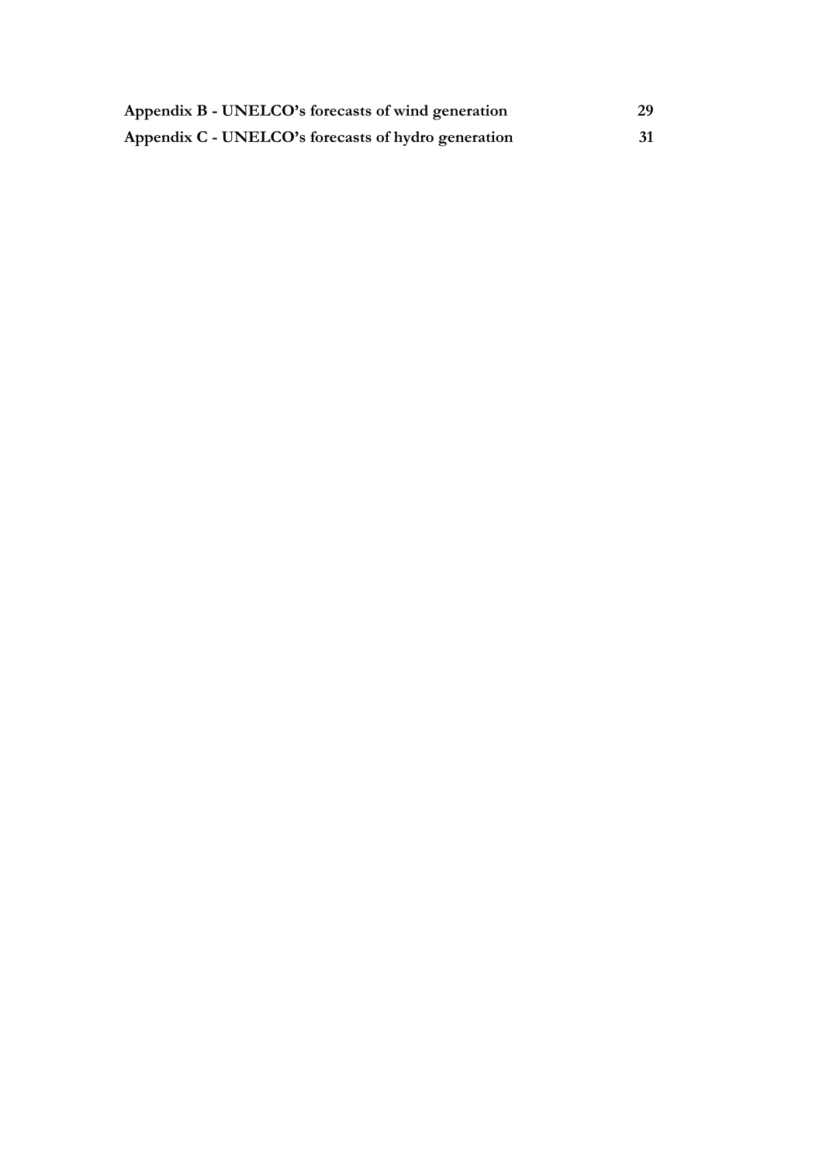| Appendix B - UNELCO's forecasts of wind generation  |  |
|-----------------------------------------------------|--|
| Appendix C - UNELCO's forecasts of hydro generation |  |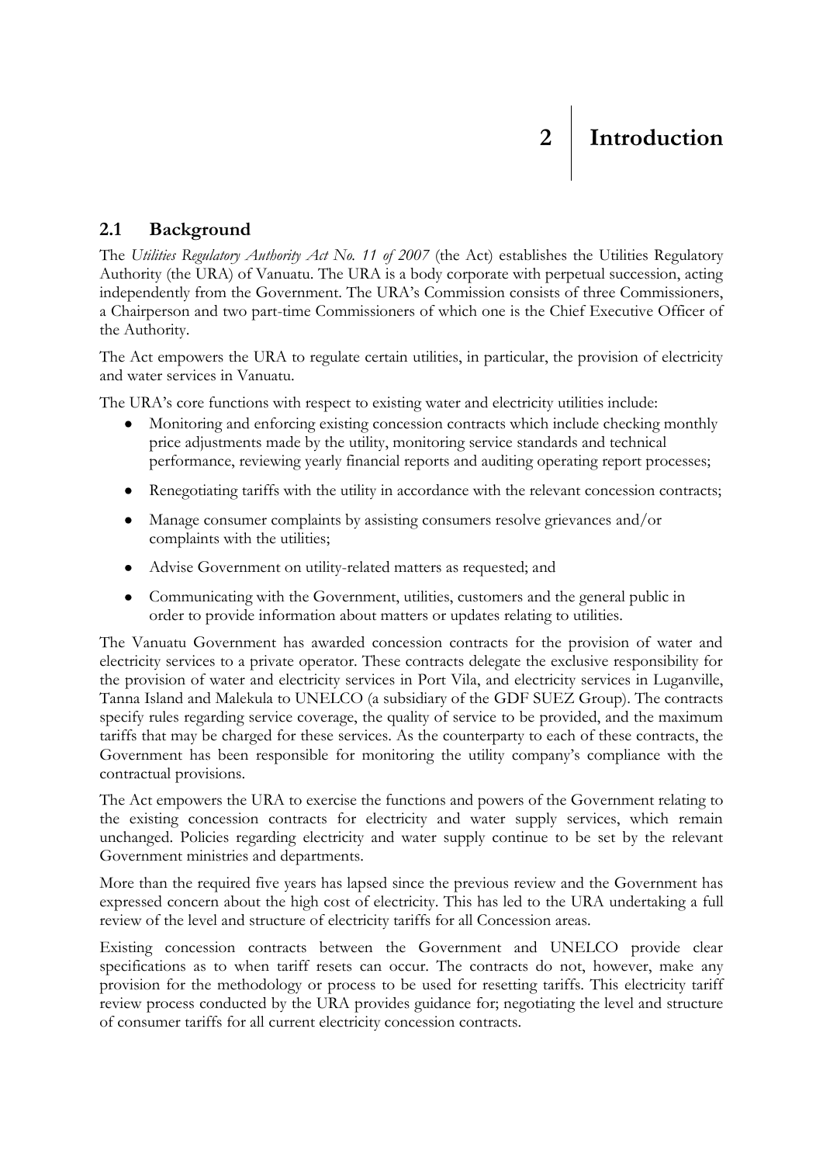#### <span id="page-4-1"></span><span id="page-4-0"></span>**2.1 Background**

The *Utilities Regulatory Authority Act No. 11 of 2007* (the Act) establishes the Utilities Regulatory Authority (the URA) of Vanuatu. The URA is a body corporate with perpetual succession, acting independently from the Government. The URA"s Commission consists of three Commissioners, a Chairperson and two part-time Commissioners of which one is the Chief Executive Officer of the Authority.

The Act empowers the URA to regulate certain utilities, in particular, the provision of electricity and water services in Vanuatu.

The URA's core functions with respect to existing water and electricity utilities include:

- Monitoring and enforcing existing concession contracts which include checking monthly  $\bullet$ price adjustments made by the utility, monitoring service standards and technical performance, reviewing yearly financial reports and auditing operating report processes;
- Renegotiating tariffs with the utility in accordance with the relevant concession contracts;
- $\bullet$ Manage consumer complaints by assisting consumers resolve grievances and/or complaints with the utilities;
- Advise Government on utility-related matters as requested; and
- Communicating with the Government, utilities, customers and the general public in order to provide information about matters or updates relating to utilities.

The Vanuatu Government has awarded concession contracts for the provision of water and electricity services to a private operator. These contracts delegate the exclusive responsibility for the provision of water and electricity services in Port Vila, and electricity services in Luganville, Tanna Island and Malekula to UNELCO (a subsidiary of the GDF SUEZ Group). The contracts specify rules regarding service coverage, the quality of service to be provided, and the maximum tariffs that may be charged for these services. As the counterparty to each of these contracts, the Government has been responsible for monitoring the utility company"s compliance with the contractual provisions.

The Act empowers the URA to exercise the functions and powers of the Government relating to the existing concession contracts for electricity and water supply services, which remain unchanged. Policies regarding electricity and water supply continue to be set by the relevant Government ministries and departments.

More than the required five years has lapsed since the previous review and the Government has expressed concern about the high cost of electricity. This has led to the URA undertaking a full review of the level and structure of electricity tariffs for all Concession areas.

Existing concession contracts between the Government and UNELCO provide clear specifications as to when tariff resets can occur. The contracts do not, however, make any provision for the methodology or process to be used for resetting tariffs. This electricity tariff review process conducted by the URA provides guidance for; negotiating the level and structure of consumer tariffs for all current electricity concession contracts.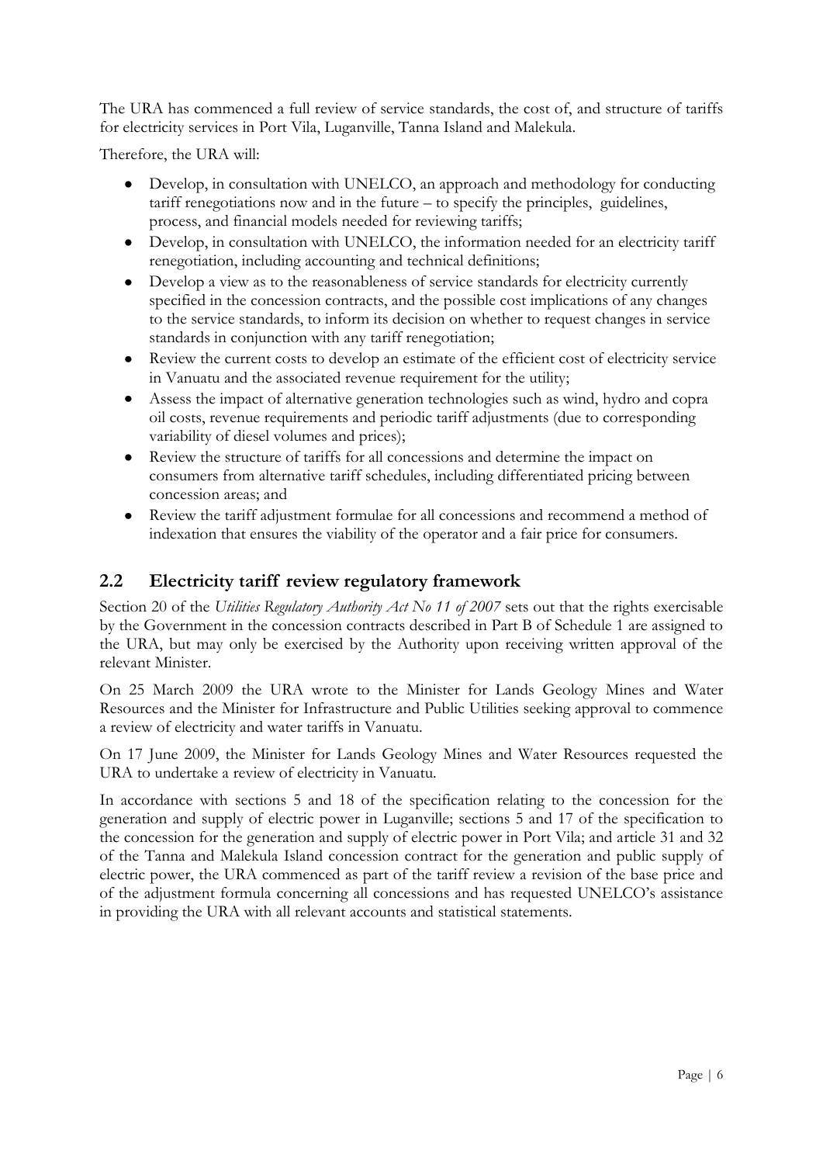The URA has commenced a full review of service standards, the cost of, and structure of tariffs for electricity services in Port Vila, Luganville, Tanna Island and Malekula.

Therefore, the URA will:

- Develop, in consultation with UNELCO, an approach and methodology for conducting  $\bullet$ tariff renegotiations now and in the future – to specify the principles, guidelines, process, and financial models needed for reviewing tariffs;
- Develop, in consultation with UNELCO, the information needed for an electricity tariff renegotiation, including accounting and technical definitions;
- Develop a view as to the reasonableness of service standards for electricity currently  $\bullet$ specified in the concession contracts, and the possible cost implications of any changes to the service standards, to inform its decision on whether to request changes in service standards in conjunction with any tariff renegotiation;
- Review the current costs to develop an estimate of the efficient cost of electricity service in Vanuatu and the associated revenue requirement for the utility;
- Assess the impact of alternative generation technologies such as wind, hydro and copra  $\bullet$ oil costs, revenue requirements and periodic tariff adjustments (due to corresponding variability of diesel volumes and prices);
- $\bullet$ Review the structure of tariffs for all concessions and determine the impact on consumers from alternative tariff schedules, including differentiated pricing between concession areas; and
- Review the tariff adjustment formulae for all concessions and recommend a method of  $\bullet$ indexation that ensures the viability of the operator and a fair price for consumers.

#### <span id="page-5-0"></span>**2.2 Electricity tariff review regulatory framework**

Section 20 of the *Utilities Regulatory Authority Act No 11 of 2007* sets out that the rights exercisable by the Government in the concession contracts described in Part B of Schedule 1 are assigned to the URA, but may only be exercised by the Authority upon receiving written approval of the relevant Minister.

On 25 March 2009 the URA wrote to the Minister for Lands Geology Mines and Water Resources and the Minister for Infrastructure and Public Utilities seeking approval to commence a review of electricity and water tariffs in Vanuatu.

On 17 June 2009, the Minister for Lands Geology Mines and Water Resources requested the URA to undertake a review of electricity in Vanuatu.

In accordance with sections 5 and 18 of the specification relating to the concession for the generation and supply of electric power in Luganville; sections 5 and 17 of the specification to the concession for the generation and supply of electric power in Port Vila; and article 31 and 32 of the Tanna and Malekula Island concession contract for the generation and public supply of electric power, the URA commenced as part of the tariff review a revision of the base price and of the adjustment formula concerning all concessions and has requested UNELCO"s assistance in providing the URA with all relevant accounts and statistical statements.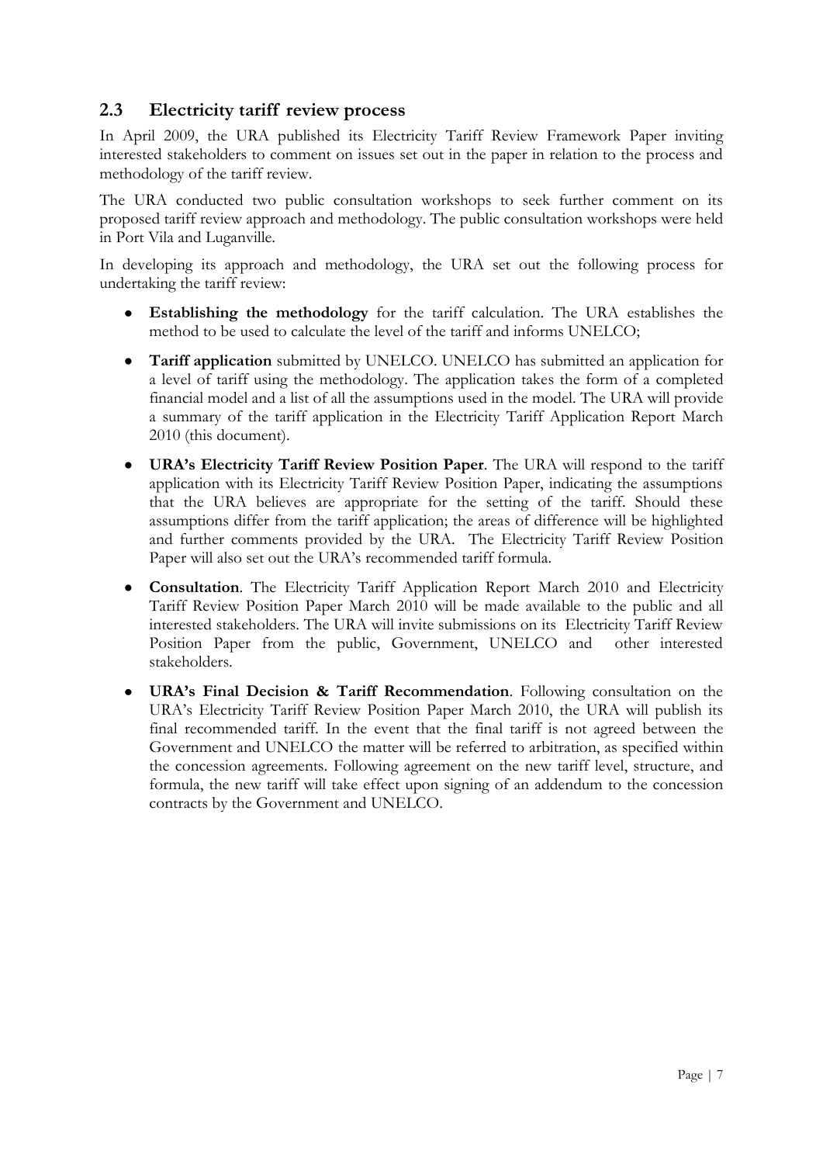#### <span id="page-6-0"></span>**2.3 Electricity tariff review process**

In April 2009, the URA published its Electricity Tariff Review Framework Paper inviting interested stakeholders to comment on issues set out in the paper in relation to the process and methodology of the tariff review.

The URA conducted two public consultation workshops to seek further comment on its proposed tariff review approach and methodology. The public consultation workshops were held in Port Vila and Luganville.

In developing its approach and methodology, the URA set out the following process for undertaking the tariff review:

- $\bullet$ **Establishing the methodology** for the tariff calculation. The URA establishes the method to be used to calculate the level of the tariff and informs UNELCO;
- $\bullet$ **Tariff application** submitted by UNELCO. UNELCO has submitted an application for a level of tariff using the methodology. The application takes the form of a completed financial model and a list of all the assumptions used in the model. The URA will provide a summary of the tariff application in the Electricity Tariff Application Report March 2010 (this document).
- **URA's Electricity Tariff Review Position Paper**. The URA will respond to the tariff  $\bullet$ application with its Electricity Tariff Review Position Paper, indicating the assumptions that the URA believes are appropriate for the setting of the tariff. Should these assumptions differ from the tariff application; the areas of difference will be highlighted and further comments provided by the URA. The Electricity Tariff Review Position Paper will also set out the URA's recommended tariff formula.
- **Consultation**. The Electricity Tariff Application Report March 2010 and Electricity  $\bullet$ Tariff Review Position Paper March 2010 will be made available to the public and all interested stakeholders. The URA will invite submissions on its Electricity Tariff Review Position Paper from the public, Government, UNELCO and other interested stakeholders.
- **URA's Final Decision & Tariff Recommendation**. Following consultation on the URA"s Electricity Tariff Review Position Paper March 2010, the URA will publish its final recommended tariff. In the event that the final tariff is not agreed between the Government and UNELCO the matter will be referred to arbitration, as specified within the concession agreements. Following agreement on the new tariff level, structure, and formula, the new tariff will take effect upon signing of an addendum to the concession contracts by the Government and UNELCO.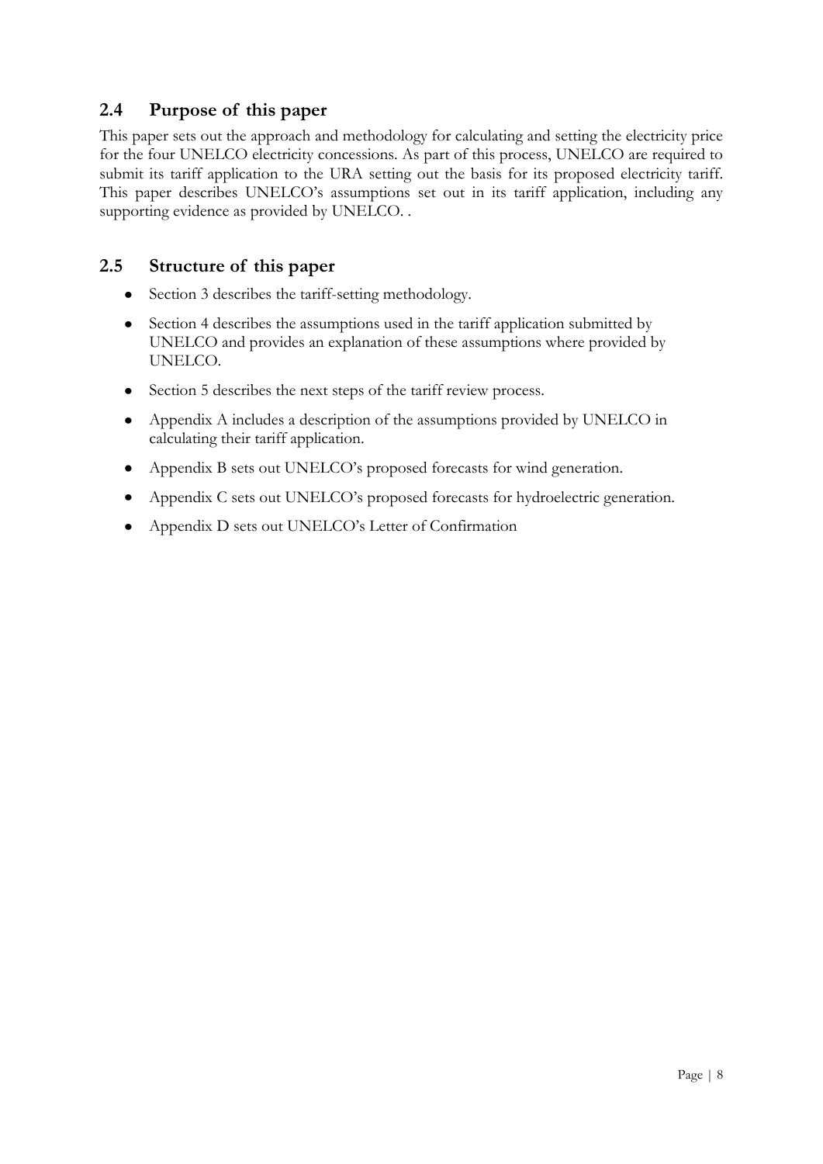#### <span id="page-7-0"></span>**2.4 Purpose of this paper**

This paper sets out the approach and methodology for calculating and setting the electricity price for the four UNELCO electricity concessions. As part of this process, UNELCO are required to submit its tariff application to the URA setting out the basis for its proposed electricity tariff. This paper describes UNELCO"s assumptions set out in its tariff application, including any supporting evidence as provided by UNELCO. .

#### <span id="page-7-1"></span>**2.5 Structure of this paper**

- $\bullet$ Section 3 describes the tariff-setting methodology.
- Section 4 describes the assumptions used in the tariff application submitted by UNELCO and provides an explanation of these assumptions where provided by UNELCO.
- Section 5 describes the next steps of the tariff review process.
- Appendix A includes a description of the assumptions provided by UNELCO in calculating their tariff application.
- Appendix B sets out UNELCO"s proposed forecasts for wind generation.  $\bullet$
- Appendix C sets out UNELCO"s proposed forecasts for hydroelectric generation.
- Appendix D sets out UNELCO"s Letter of Confirmation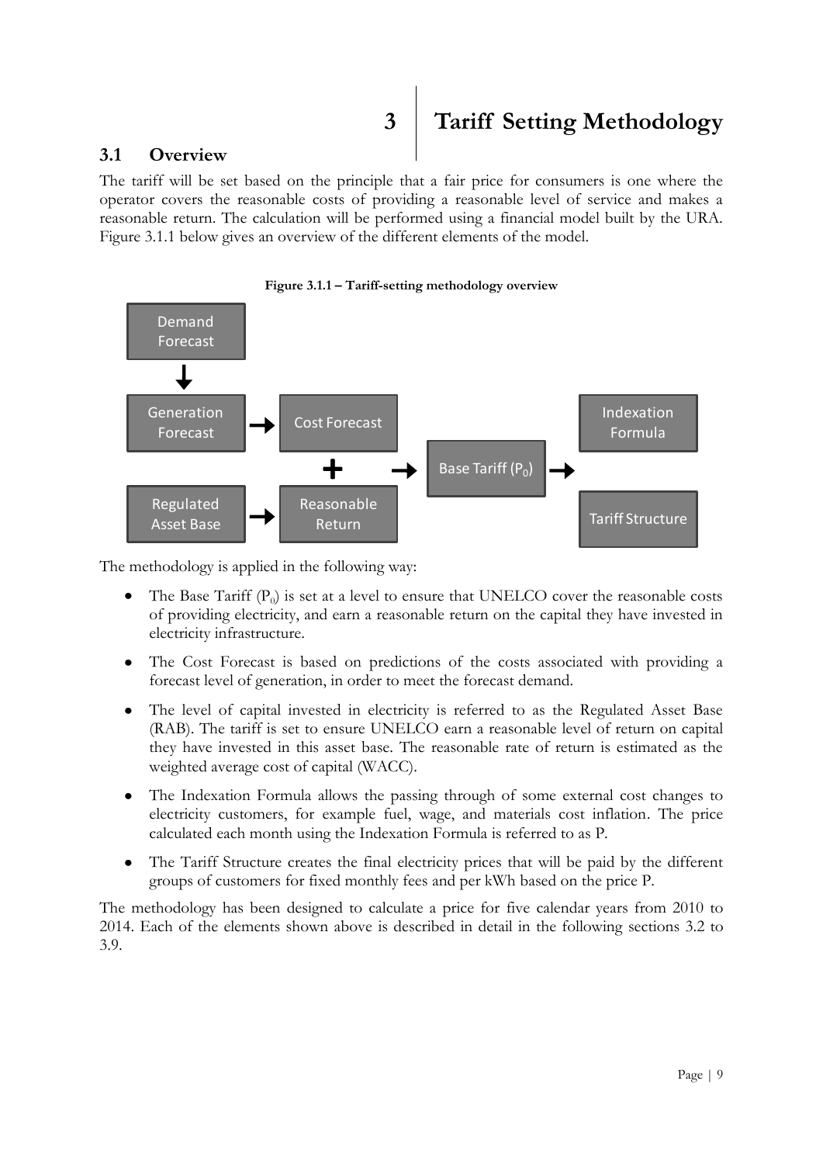# <span id="page-8-0"></span>**3 Tariff Setting Methodology**

#### <span id="page-8-1"></span>**3.1 Overview**

The tariff will be set based on the principle that a fair price for consumers is one where the operator covers the reasonable costs of providing a reasonable level of service and makes a reasonable return. The calculation will be performed using a financial model built by the URA. Figure 3.1.1 below gives an overview of the different elements of the model.



The methodology is applied in the following way:

- The Base Tariff  $(P_0)$  is set at a level to ensure that UNELCO cover the reasonable costs  $\bullet$ of providing electricity, and earn a reasonable return on the capital they have invested in electricity infrastructure.
- The Cost Forecast is based on predictions of the costs associated with providing a  $\bullet$ forecast level of generation, in order to meet the forecast demand.
- The level of capital invested in electricity is referred to as the Regulated Asset Base  $\bullet$ (RAB). The tariff is set to ensure UNELCO earn a reasonable level of return on capital they have invested in this asset base. The reasonable rate of return is estimated as the weighted average cost of capital (WACC).
- $\bullet$ The Indexation Formula allows the passing through of some external cost changes to electricity customers, for example fuel, wage, and materials cost inflation. The price calculated each month using the Indexation Formula is referred to as P.
- $\bullet$ The Tariff Structure creates the final electricity prices that will be paid by the different groups of customers for fixed monthly fees and per kWh based on the price P.

The methodology has been designed to calculate a price for five calendar years from 2010 to 2014. Each of the elements shown above is described in detail in the following sections 3.2 to 3.9.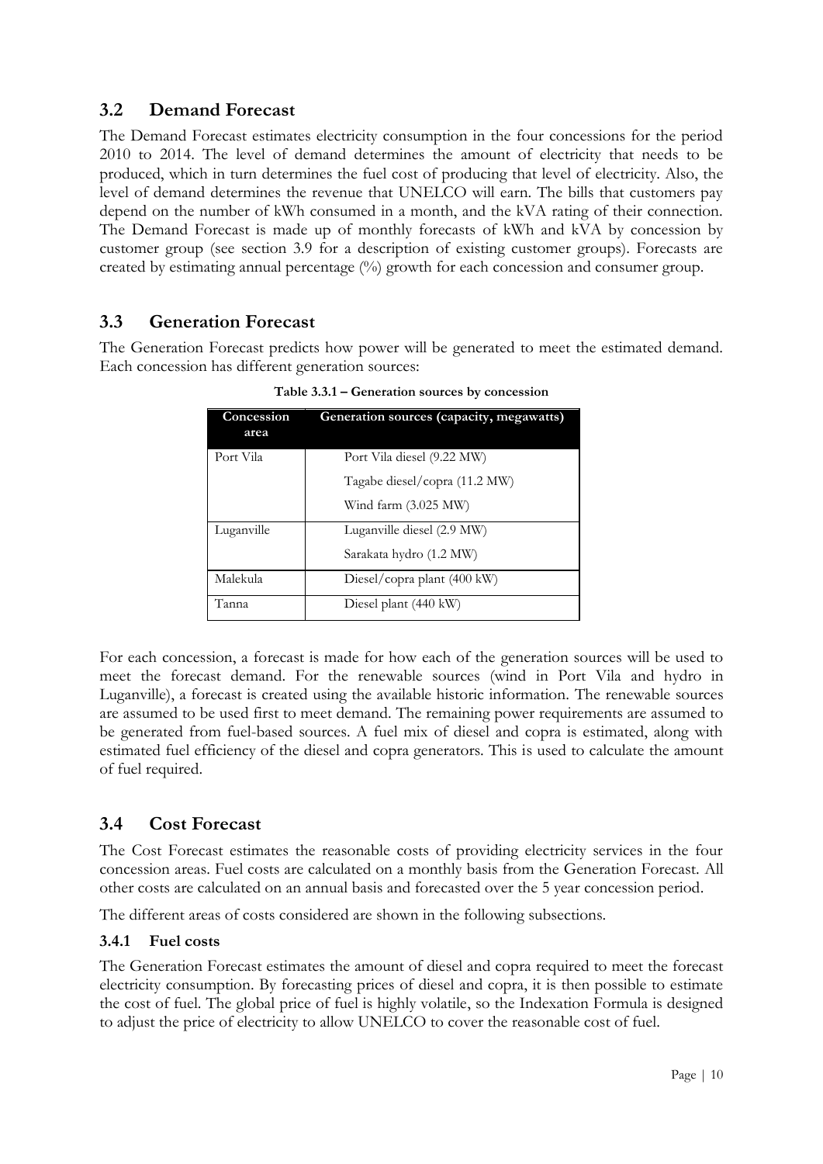#### <span id="page-9-0"></span>**3.2 Demand Forecast**

The Demand Forecast estimates electricity consumption in the four concessions for the period 2010 to 2014. The level of demand determines the amount of electricity that needs to be produced, which in turn determines the fuel cost of producing that level of electricity. Also, the level of demand determines the revenue that UNELCO will earn. The bills that customers pay depend on the number of kWh consumed in a month, and the kVA rating of their connection. The Demand Forecast is made up of monthly forecasts of kWh and kVA by concession by customer group (see section 3.9 for a description of existing customer groups). Forecasts are created by estimating annual percentage (%) growth for each concession and consumer group.

#### <span id="page-9-1"></span>**3.3 Generation Forecast**

The Generation Forecast predicts how power will be generated to meet the estimated demand. Each concession has different generation sources:

| Concession<br>area | Generation sources (capacity, megawatts) |
|--------------------|------------------------------------------|
| Port Vila          | Port Vila diesel (9.22 MW)               |
|                    | Tagabe diesel/copra (11.2 MW)            |
|                    | Wind farm $(3.025 \text{ MW})$           |
| Luganville         | Luganville diesel (2.9 MW)               |
|                    | Sarakata hydro (1.2 MW)                  |
| Malekula           | Diesel/copra plant $(400 \text{ kW})$    |
| Tanna              | Diesel plant (440 kW)                    |

**Table 3.3.1 – Generation sources by concession**

For each concession, a forecast is made for how each of the generation sources will be used to meet the forecast demand. For the renewable sources (wind in Port Vila and hydro in Luganville), a forecast is created using the available historic information. The renewable sources are assumed to be used first to meet demand. The remaining power requirements are assumed to be generated from fuel-based sources. A fuel mix of diesel and copra is estimated, along with estimated fuel efficiency of the diesel and copra generators. This is used to calculate the amount of fuel required.

#### <span id="page-9-2"></span>**3.4 Cost Forecast**

The Cost Forecast estimates the reasonable costs of providing electricity services in the four concession areas. Fuel costs are calculated on a monthly basis from the Generation Forecast. All other costs are calculated on an annual basis and forecasted over the 5 year concession period.

The different areas of costs considered are shown in the following subsections.

#### **3.4.1 Fuel costs**

The Generation Forecast estimates the amount of diesel and copra required to meet the forecast electricity consumption. By forecasting prices of diesel and copra, it is then possible to estimate the cost of fuel. The global price of fuel is highly volatile, so the Indexation Formula is designed to adjust the price of electricity to allow UNELCO to cover the reasonable cost of fuel.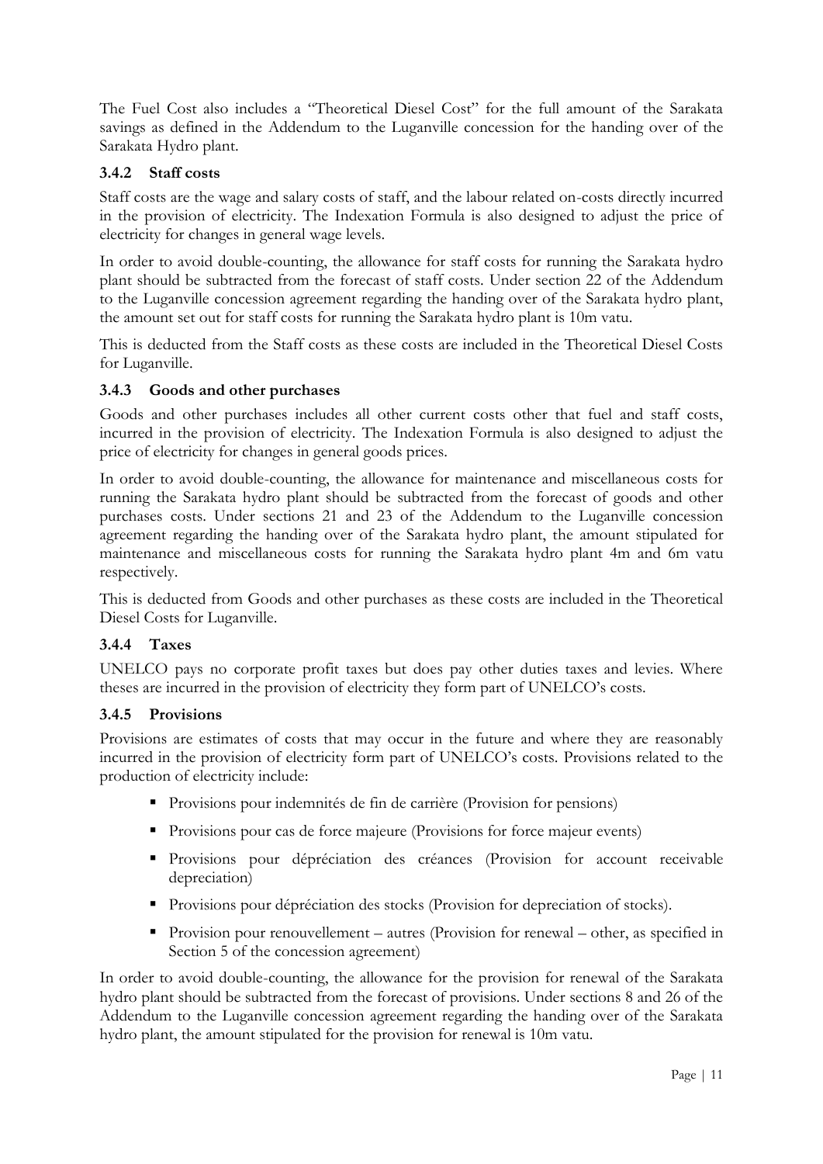The Fuel Cost also includes a "Theoretical Diesel Cost" for the full amount of the Sarakata savings as defined in the Addendum to the Luganville concession for the handing over of the Sarakata Hydro plant.

#### **3.4.2 Staff costs**

Staff costs are the wage and salary costs of staff, and the labour related on-costs directly incurred in the provision of electricity. The Indexation Formula is also designed to adjust the price of electricity for changes in general wage levels.

In order to avoid double-counting, the allowance for staff costs for running the Sarakata hydro plant should be subtracted from the forecast of staff costs. Under section 22 of the Addendum to the Luganville concession agreement regarding the handing over of the Sarakata hydro plant, the amount set out for staff costs for running the Sarakata hydro plant is 10m vatu.

This is deducted from the Staff costs as these costs are included in the Theoretical Diesel Costs for Luganville.

#### **3.4.3 Goods and other purchases**

Goods and other purchases includes all other current costs other that fuel and staff costs, incurred in the provision of electricity. The Indexation Formula is also designed to adjust the price of electricity for changes in general goods prices.

In order to avoid double-counting, the allowance for maintenance and miscellaneous costs for running the Sarakata hydro plant should be subtracted from the forecast of goods and other purchases costs. Under sections 21 and 23 of the Addendum to the Luganville concession agreement regarding the handing over of the Sarakata hydro plant, the amount stipulated for maintenance and miscellaneous costs for running the Sarakata hydro plant 4m and 6m vatu respectively.

This is deducted from Goods and other purchases as these costs are included in the Theoretical Diesel Costs for Luganville.

#### **3.4.4 Taxes**

UNELCO pays no corporate profit taxes but does pay other duties taxes and levies. Where theses are incurred in the provision of electricity they form part of UNELCO"s costs.

#### **3.4.5 Provisions**

Provisions are estimates of costs that may occur in the future and where they are reasonably incurred in the provision of electricity form part of UNELCO"s costs. Provisions related to the production of electricity include:

- Provisions pour indemnités de fin de carrière (Provision for pensions)
- **Provisions pour cas de force majeure (Provisions for force majeur events)**
- Provisions pour dépréciation des créances (Provision for account receivable depreciation)
- **Provisions pour dépréciation des stocks (Provision for depreciation of stocks).**
- Provision pour renouvellement autres (Provision for renewal other, as specified in Section 5 of the concession agreement)

In order to avoid double-counting, the allowance for the provision for renewal of the Sarakata hydro plant should be subtracted from the forecast of provisions. Under sections 8 and 26 of the Addendum to the Luganville concession agreement regarding the handing over of the Sarakata hydro plant, the amount stipulated for the provision for renewal is 10m vatu.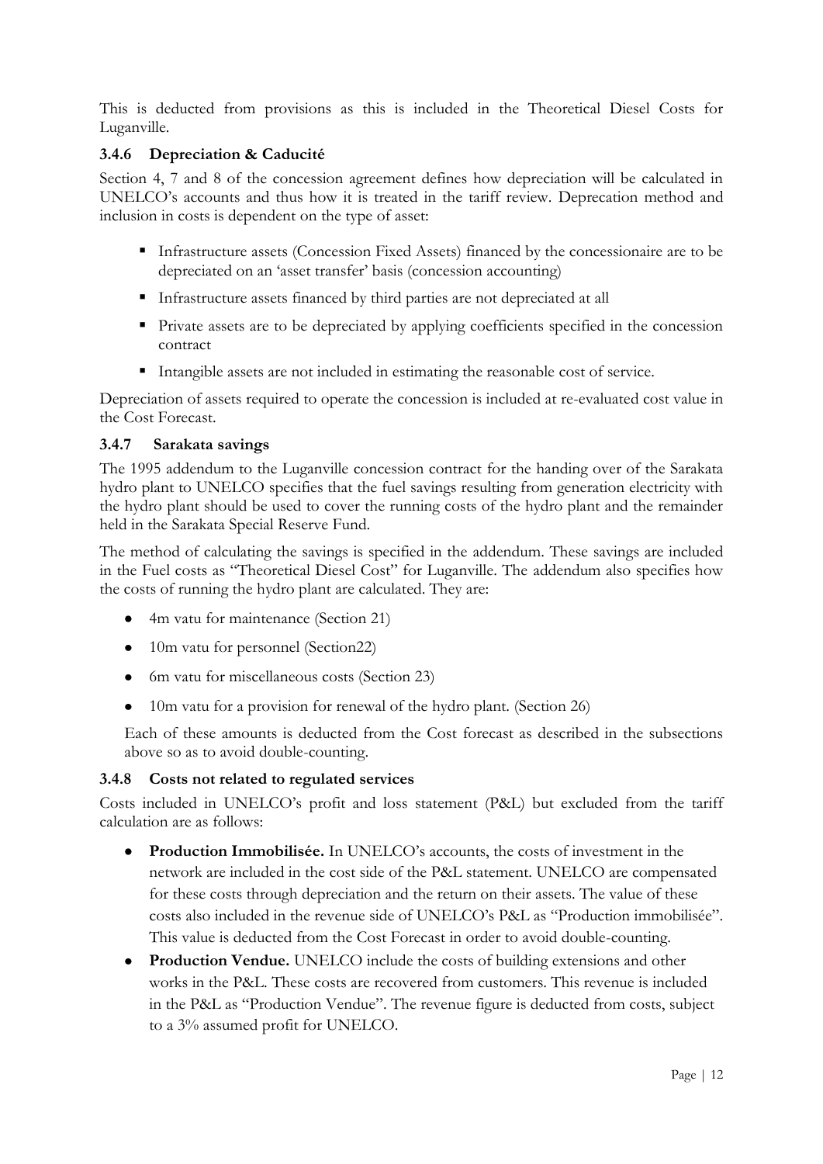This is deducted from provisions as this is included in the Theoretical Diesel Costs for Luganville.

#### **3.4.6 Depreciation & Caducité**

Section 4, 7 and 8 of the concession agreement defines how depreciation will be calculated in UNELCO"s accounts and thus how it is treated in the tariff review. Deprecation method and inclusion in costs is dependent on the type of asset:

- Infrastructure assets (Concession Fixed Assets) financed by the concessionaire are to be depreciated on an "asset transfer" basis (concession accounting)
- Infrastructure assets financed by third parties are not depreciated at all
- Private assets are to be depreciated by applying coefficients specified in the concession contract
- Intangible assets are not included in estimating the reasonable cost of service.

Depreciation of assets required to operate the concession is included at re-evaluated cost value in the Cost Forecast.

#### **3.4.7 Sarakata savings**

The 1995 addendum to the Luganville concession contract for the handing over of the Sarakata hydro plant to UNELCO specifies that the fuel savings resulting from generation electricity with the hydro plant should be used to cover the running costs of the hydro plant and the remainder held in the Sarakata Special Reserve Fund.

The method of calculating the savings is specified in the addendum. These savings are included in the Fuel costs as "Theoretical Diesel Cost" for Luganville. The addendum also specifies how the costs of running the hydro plant are calculated. They are:

- 4m vatu for maintenance (Section 21)
- 10m vatu for personnel (Section 22)
- 6m vatu for miscellaneous costs (Section 23)
- 10m vatu for a provision for renewal of the hydro plant. (Section 26)

Each of these amounts is deducted from the Cost forecast as described in the subsections above so as to avoid double-counting.

#### **3.4.8 Costs not related to regulated services**

Costs included in UNELCO"s profit and loss statement (P&L) but excluded from the tariff calculation are as follows:

- **Production Immobilisée.** In UNELCO"s accounts, the costs of investment in the network are included in the cost side of the P&L statement. UNELCO are compensated for these costs through depreciation and the return on their assets. The value of these costs also included in the revenue side of UNELCO"s P&L as "Production immobilisée". This value is deducted from the Cost Forecast in order to avoid double-counting.
- **Production Vendue.** UNELCO include the costs of building extensions and other works in the P&L. These costs are recovered from customers. This revenue is included in the P&L as "Production Vendue". The revenue figure is deducted from costs, subject to a 3% assumed profit for UNELCO.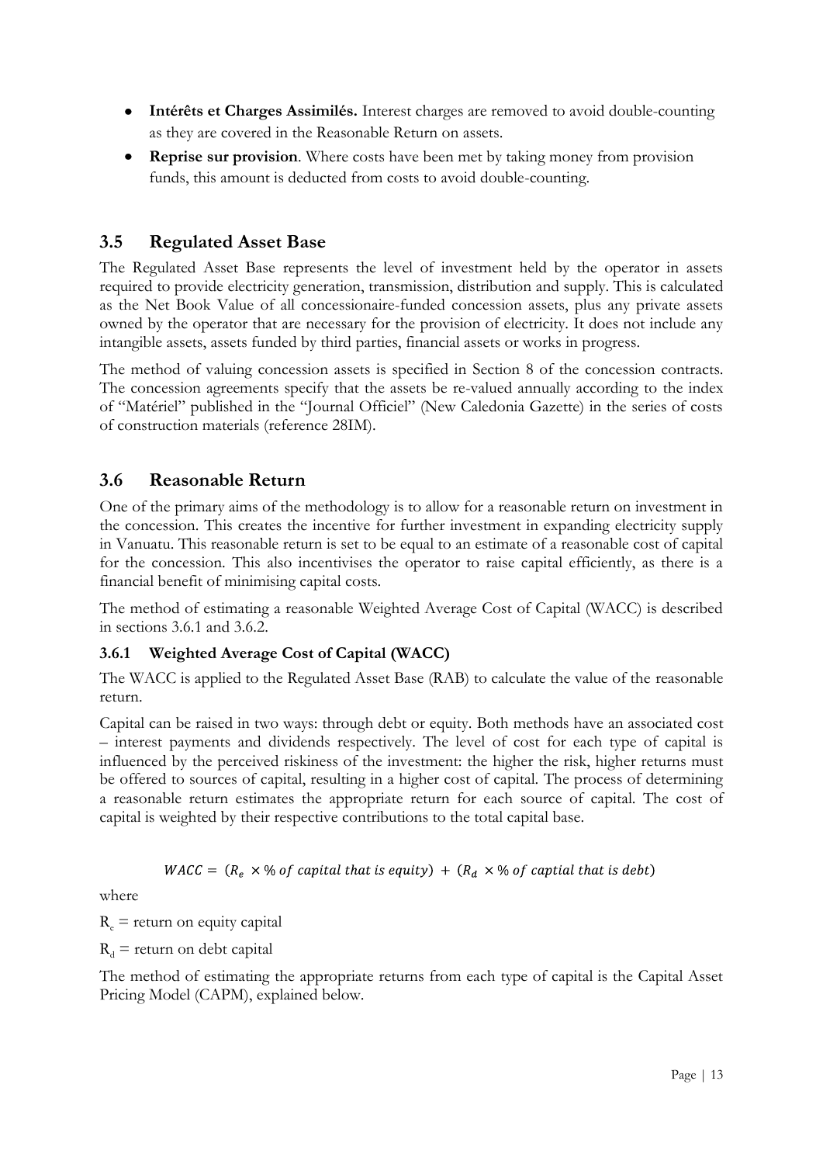- **Intérêts et Charges Assimilés.** Interest charges are removed to avoid double-counting as they are covered in the Reasonable Return on assets.
- **Reprise sur provision**. Where costs have been met by taking money from provision  $\bullet$ funds, this amount is deducted from costs to avoid double-counting.

#### <span id="page-12-0"></span>**3.5 Regulated Asset Base**

The Regulated Asset Base represents the level of investment held by the operator in assets required to provide electricity generation, transmission, distribution and supply. This is calculated as the Net Book Value of all concessionaire-funded concession assets, plus any private assets owned by the operator that are necessary for the provision of electricity. It does not include any intangible assets, assets funded by third parties, financial assets or works in progress.

The method of valuing concession assets is specified in Section 8 of the concession contracts. The concession agreements specify that the assets be re-valued annually according to the index of "Matériel" published in the "Journal Officiel" (New Caledonia Gazette) in the series of costs of construction materials (reference 28IM).

#### <span id="page-12-1"></span>**3.6 Reasonable Return**

One of the primary aims of the methodology is to allow for a reasonable return on investment in the concession. This creates the incentive for further investment in expanding electricity supply in Vanuatu. This reasonable return is set to be equal to an estimate of a reasonable cost of capital for the concession. This also incentivises the operator to raise capital efficiently, as there is a financial benefit of minimising capital costs.

The method of estimating a reasonable Weighted Average Cost of Capital (WACC) is described in sections 3.6.1 and 3.6.2.

#### **3.6.1 Weighted Average Cost of Capital (WACC)**

The WACC is applied to the Regulated Asset Base (RAB) to calculate the value of the reasonable return.

Capital can be raised in two ways: through debt or equity. Both methods have an associated cost – interest payments and dividends respectively. The level of cost for each type of capital is influenced by the perceived riskiness of the investment: the higher the risk, higher returns must be offered to sources of capital, resulting in a higher cost of capital. The process of determining a reasonable return estimates the appropriate return for each source of capital. The cost of capital is weighted by their respective contributions to the total capital base.

 $WACC = (R_e \times % of capital that is equity) + (R_d \times % of capital that is debt)$ 

where

 $R_e$  = return on equity capital

 $R_d$  = return on debt capital

The method of estimating the appropriate returns from each type of capital is the Capital Asset Pricing Model (CAPM), explained below.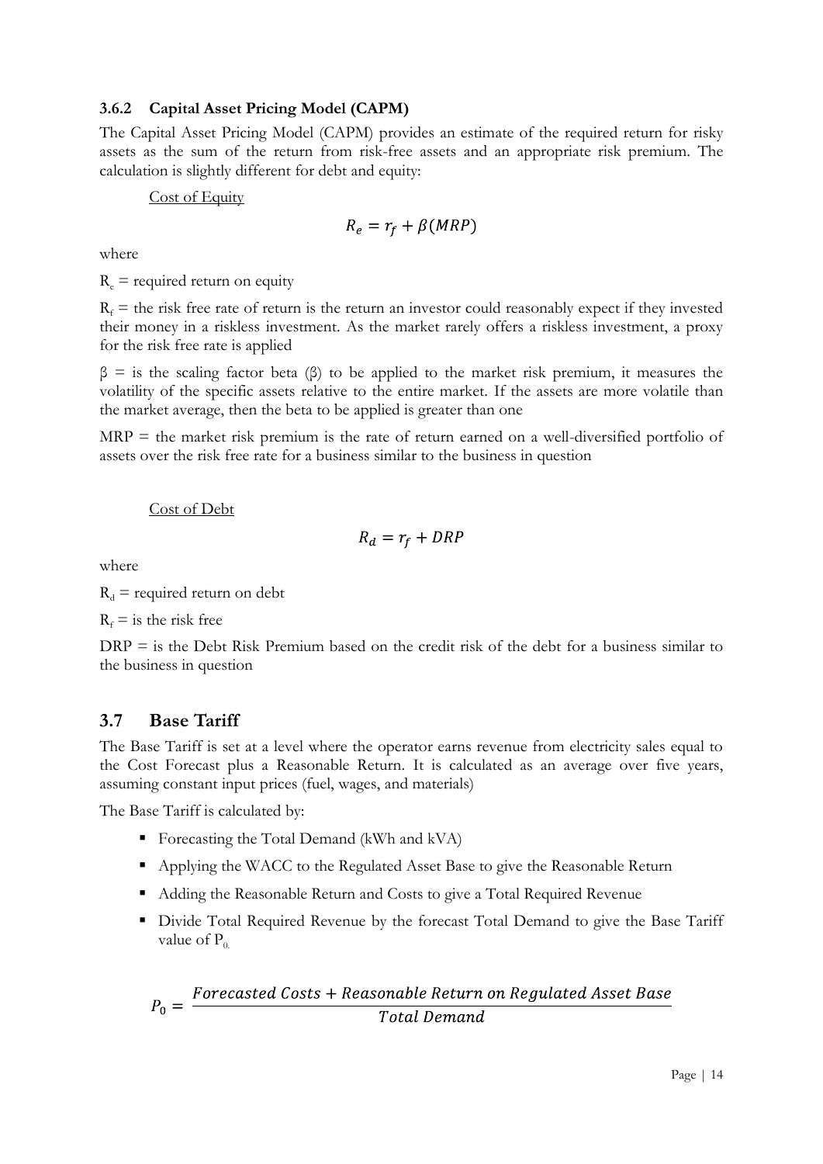#### **3.6.2 Capital Asset Pricing Model (CAPM)**

The Capital Asset Pricing Model (CAPM) provides an estimate of the required return for risky assets as the sum of the return from risk-free assets and an appropriate risk premium. The calculation is slightly different for debt and equity:

Cost of Equity

$$
R_e = r_f + \beta(MRP)
$$

where

 $R_e$  = required return on equity

 $R_f$  = the risk free rate of return is the return an investor could reasonably expect if they invested their money in a riskless investment. As the market rarely offers a riskless investment, a proxy for the risk free rate is applied

 $β =$  is the scaling factor beta (β) to be applied to the market risk premium, it measures the volatility of the specific assets relative to the entire market. If the assets are more volatile than the market average, then the beta to be applied is greater than one

MRP = the market risk premium is the rate of return earned on a well-diversified portfolio of assets over the risk free rate for a business similar to the business in question

#### Cost of Debt

$$
R_d = r_f + DRP
$$

where

 $R_d$  = required return on debt

 $R_f$  = is the risk free

 $DRP =$  is the Debt Risk Premium based on the credit risk of the debt for a business similar to the business in question

#### <span id="page-13-0"></span>**3.7 Base Tariff**

The Base Tariff is set at a level where the operator earns revenue from electricity sales equal to the Cost Forecast plus a Reasonable Return. It is calculated as an average over five years, assuming constant input prices (fuel, wages, and materials)

The Base Tariff is calculated by:

- Forecasting the Total Demand (kWh and kVA)
- Applying the WACC to the Regulated Asset Base to give the Reasonable Return
- Adding the Reasonable Return and Costs to give a Total Required Revenue
- Divide Total Required Revenue by the forecast Total Demand to give the Base Tariff value of  $P_0$ .

$$
P_0 = \frac{Forecasted\;Costs + Reasonable\; Return\; on\; Regulated\; Asset\; Base}{Total\; Demand}
$$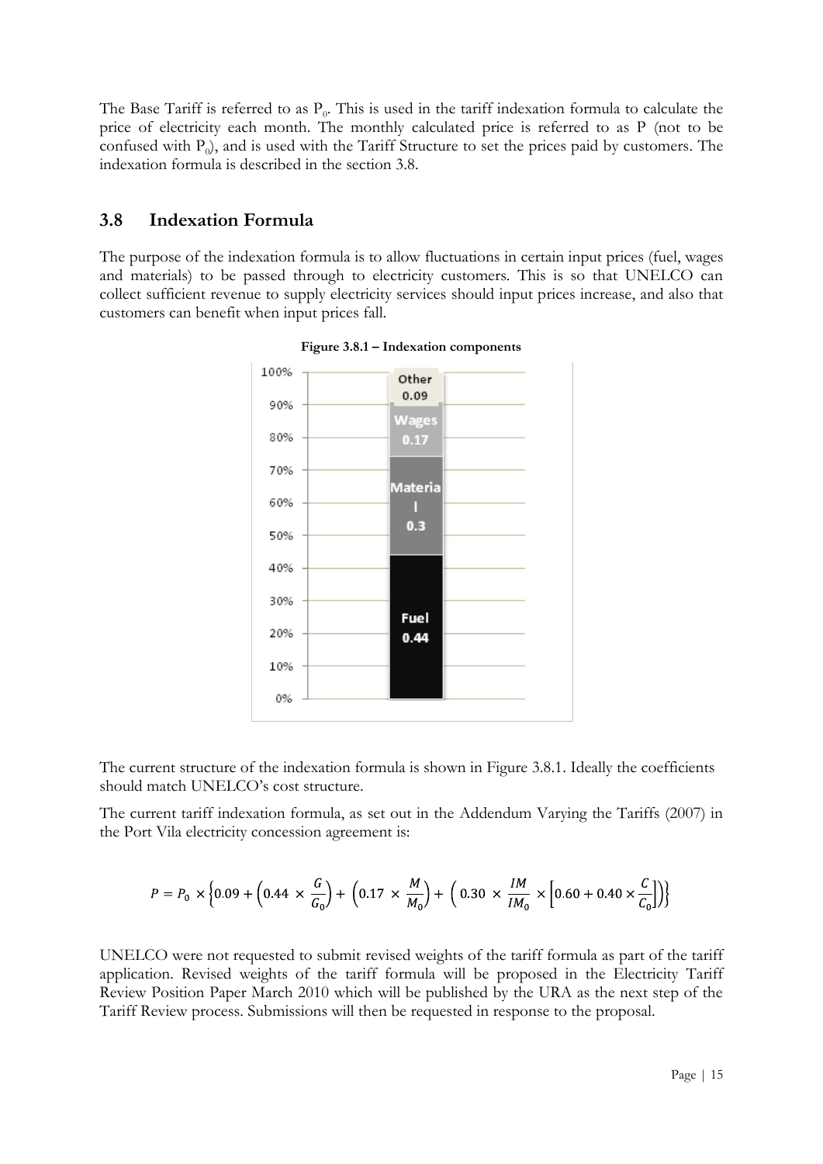The Base Tariff is referred to as  $P_0$ . This is used in the tariff indexation formula to calculate the price of electricity each month. The monthly calculated price is referred to as P (not to be confused with  $P_0$ ), and is used with the Tariff Structure to set the prices paid by customers. The indexation formula is described in the section 3.8.

#### <span id="page-14-0"></span>**3.8 Indexation Formula**

The purpose of the indexation formula is to allow fluctuations in certain input prices (fuel, wages and materials) to be passed through to electricity customers. This is so that UNELCO can collect sufficient revenue to supply electricity services should input prices increase, and also that customers can benefit when input prices fall.



**Figure 3.8.1 – Indexation components**

The current structure of the indexation formula is shown in Figure 3.8.1. Ideally the coefficients should match UNELCO"s cost structure.

The current tariff indexation formula, as set out in the Addendum Varying the Tariffs (2007) in the Port Vila electricity concession agreement is:

$$
P = P_0 \times \left\{ 0.09 + \left( 0.44 \times \frac{G}{G_0} \right) + \left( 0.17 \times \frac{M}{M_0} \right) + \left( 0.30 \times \frac{IM}{IM_0} \times \left[ 0.60 + 0.40 \times \frac{C}{C_0} \right] \right) \right\}
$$

UNELCO were not requested to submit revised weights of the tariff formula as part of the tariff application. Revised weights of the tariff formula will be proposed in the Electricity Tariff Review Position Paper March 2010 which will be published by the URA as the next step of the Tariff Review process. Submissions will then be requested in response to the proposal.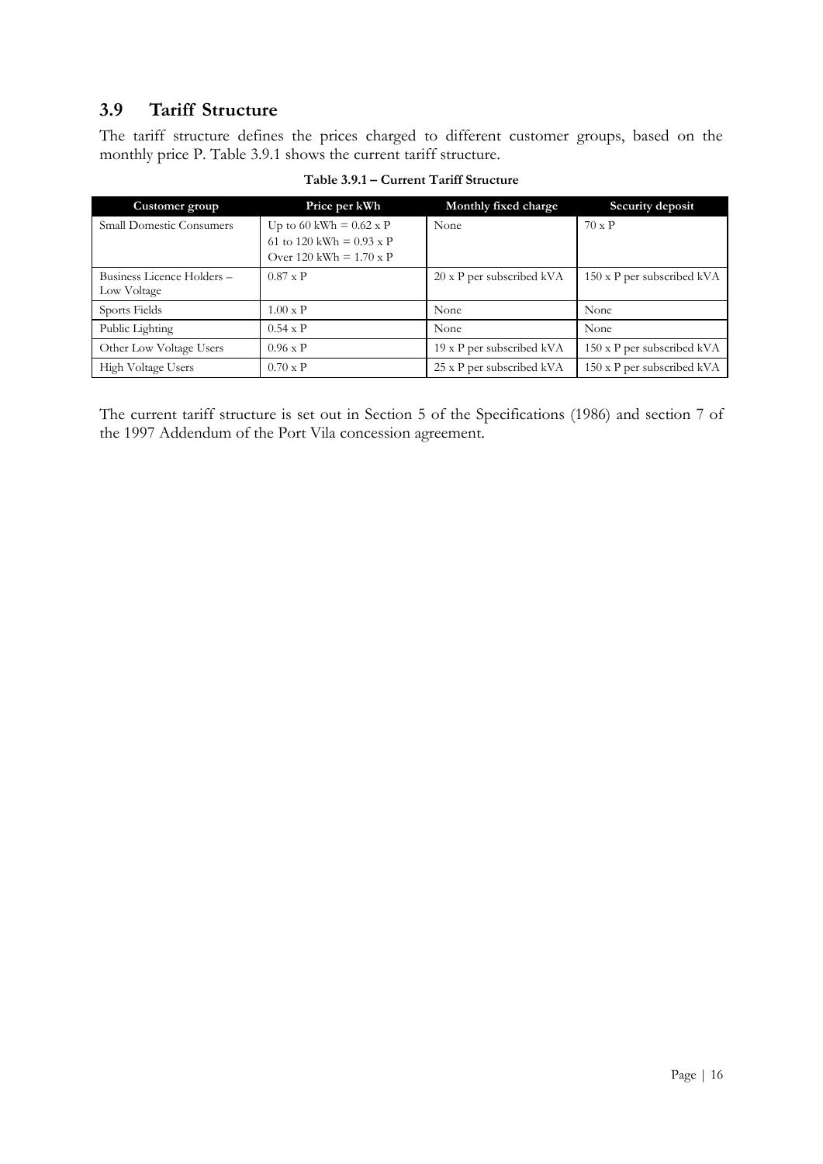#### <span id="page-15-0"></span>**3.9 Tariff Structure**

The tariff structure defines the prices charged to different customer groups, based on the monthly price P. Table 3.9.1 shows the current tariff structure.

| Customer group                  | Price per kWh                                                                                       | Monthly fixed charge             | Security deposit                  |
|---------------------------------|-----------------------------------------------------------------------------------------------------|----------------------------------|-----------------------------------|
| <b>Small Domestic Consumers</b> | Up to 60 kWh = $0.62 \times P$<br>61 to 120 kWh = $0.93 \times P$<br>Over 120 kWh = $1.70 \times P$ | None                             | $70 \times P$                     |
| Business Licence Holders -      | $0.87 \times P$                                                                                     | $20 \times P$ per subscribed kVA | $150 \times P$ per subscribed kVA |
| Low Voltage                     |                                                                                                     |                                  |                                   |
| Sports Fields                   | $1.00 \times P$                                                                                     | None                             | None                              |
| Public Lighting                 | $0.54 \times P$                                                                                     | None                             | None                              |
| Other Low Voltage Users         | $0.96 \times P$                                                                                     | 19 x P per subscribed kVA        | $150 \times P$ per subscribed kVA |
| High Voltage Users              | $0.70 \times P$                                                                                     | 25 x P per subscribed kVA        | 150 x P per subscribed kVA        |

**Table 3.9.1 – Current Tariff Structure**

The current tariff structure is set out in Section 5 of the Specifications (1986) and section 7 of the 1997 Addendum of the Port Vila concession agreement.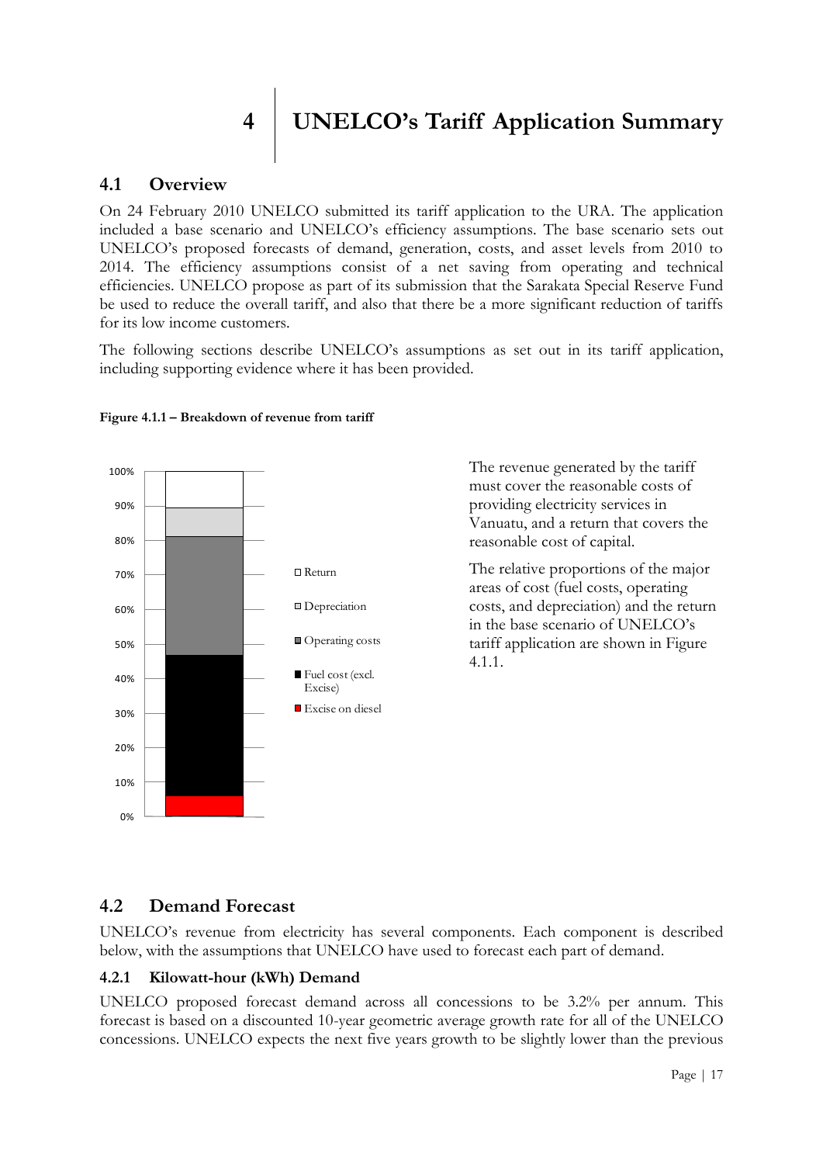<span id="page-16-0"></span>**4 UNELCO's Tariff Application Summary**

#### <span id="page-16-1"></span>**4.1 Overview**

On 24 February 2010 UNELCO submitted its tariff application to the URA. The application included a base scenario and UNELCO"s efficiency assumptions. The base scenario sets out UNELCO"s proposed forecasts of demand, generation, costs, and asset levels from 2010 to 2014. The efficiency assumptions consist of a net saving from operating and technical efficiencies. UNELCO propose as part of its submission that the Sarakata Special Reserve Fund be used to reduce the overall tariff, and also that there be a more significant reduction of tariffs for its low income customers.

The following sections describe UNELCO's assumptions as set out in its tariff application, including supporting evidence where it has been provided.



#### **Figure 4.1.1 – Breakdown of revenue from tariff**

The revenue generated by the tariff must cover the reasonable costs of providing electricity services in Vanuatu, and a return that covers the reasonable cost of capital.

The relative proportions of the major areas of cost (fuel costs, operating costs, and depreciation) and the return in the base scenario of UNELCO"s tariff application are shown in Figure 4.1.1.

#### <span id="page-16-2"></span>**4.2 Demand Forecast**

UNELCO"s revenue from electricity has several components. Each component is described below, with the assumptions that UNELCO have used to forecast each part of demand.

#### **4.2.1 Kilowatt-hour (kWh) Demand**

UNELCO proposed forecast demand across all concessions to be 3.2% per annum. This forecast is based on a discounted 10-year geometric average growth rate for all of the UNELCO concessions. UNELCO expects the next five years growth to be slightly lower than the previous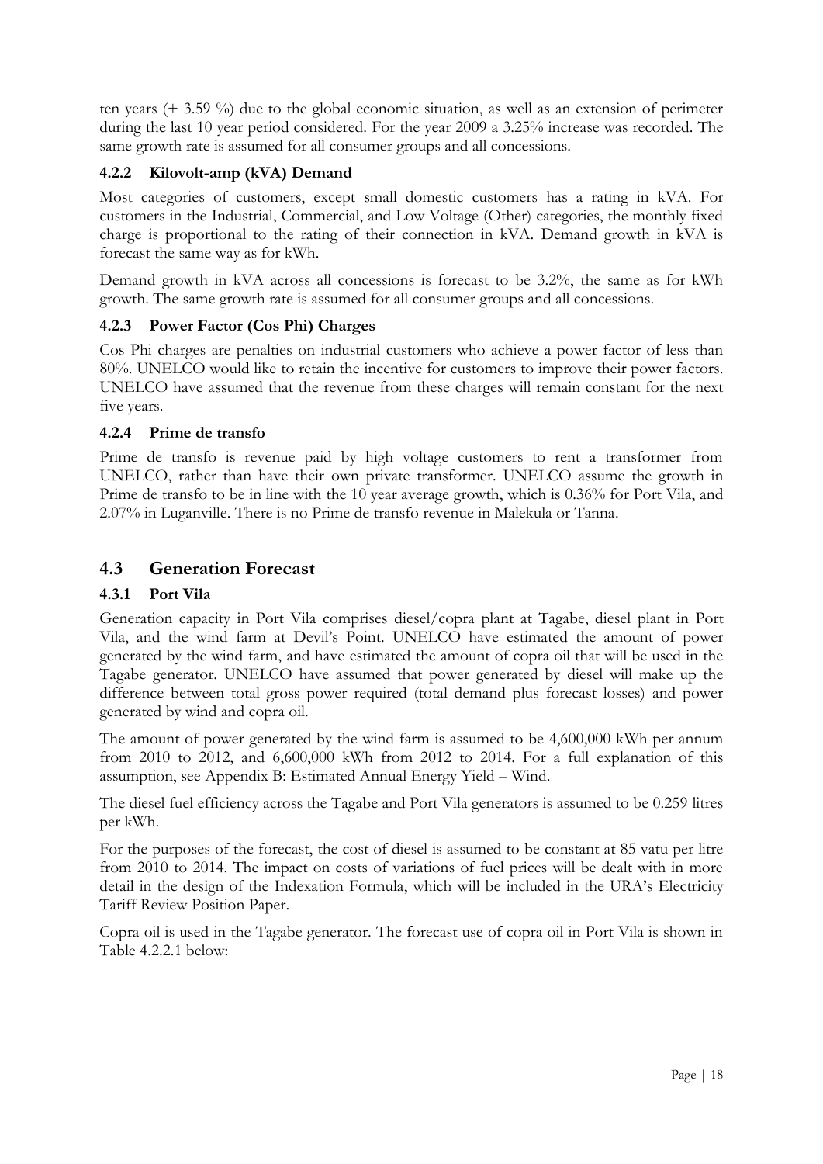ten years (+ 3.59 %) due to the global economic situation, as well as an extension of perimeter during the last 10 year period considered. For the year 2009 a 3.25% increase was recorded. The same growth rate is assumed for all consumer groups and all concessions.

#### **4.2.2 Kilovolt-amp (kVA) Demand**

Most categories of customers, except small domestic customers has a rating in kVA. For customers in the Industrial, Commercial, and Low Voltage (Other) categories, the monthly fixed charge is proportional to the rating of their connection in kVA. Demand growth in kVA is forecast the same way as for kWh.

Demand growth in kVA across all concessions is forecast to be 3.2%, the same as for kWh growth. The same growth rate is assumed for all consumer groups and all concessions.

#### **4.2.3 Power Factor (Cos Phi) Charges**

Cos Phi charges are penalties on industrial customers who achieve a power factor of less than 80%. UNELCO would like to retain the incentive for customers to improve their power factors. UNELCO have assumed that the revenue from these charges will remain constant for the next five years.

#### **4.2.4 Prime de transfo**

Prime de transfo is revenue paid by high voltage customers to rent a transformer from UNELCO, rather than have their own private transformer. UNELCO assume the growth in Prime de transfo to be in line with the 10 year average growth, which is 0.36% for Port Vila, and 2.07% in Luganville. There is no Prime de transfo revenue in Malekula or Tanna.

#### <span id="page-17-0"></span>**4.3 Generation Forecast**

#### **4.3.1 Port Vila**

Generation capacity in Port Vila comprises diesel/copra plant at Tagabe, diesel plant in Port Vila, and the wind farm at Devil"s Point. UNELCO have estimated the amount of power generated by the wind farm, and have estimated the amount of copra oil that will be used in the Tagabe generator. UNELCO have assumed that power generated by diesel will make up the difference between total gross power required (total demand plus forecast losses) and power generated by wind and copra oil.

The amount of power generated by the wind farm is assumed to be 4,600,000 kWh per annum from 2010 to 2012, and 6,600,000 kWh from 2012 to 2014. For a full explanation of this assumption, see Appendix B: Estimated Annual Energy Yield – Wind.

The diesel fuel efficiency across the Tagabe and Port Vila generators is assumed to be 0.259 litres per kWh.

For the purposes of the forecast, the cost of diesel is assumed to be constant at 85 vatu per litre from 2010 to 2014. The impact on costs of variations of fuel prices will be dealt with in more detail in the design of the Indexation Formula, which will be included in the URA"s Electricity Tariff Review Position Paper.

Copra oil is used in the Tagabe generator. The forecast use of copra oil in Port Vila is shown in Table 4.2.2.1 below: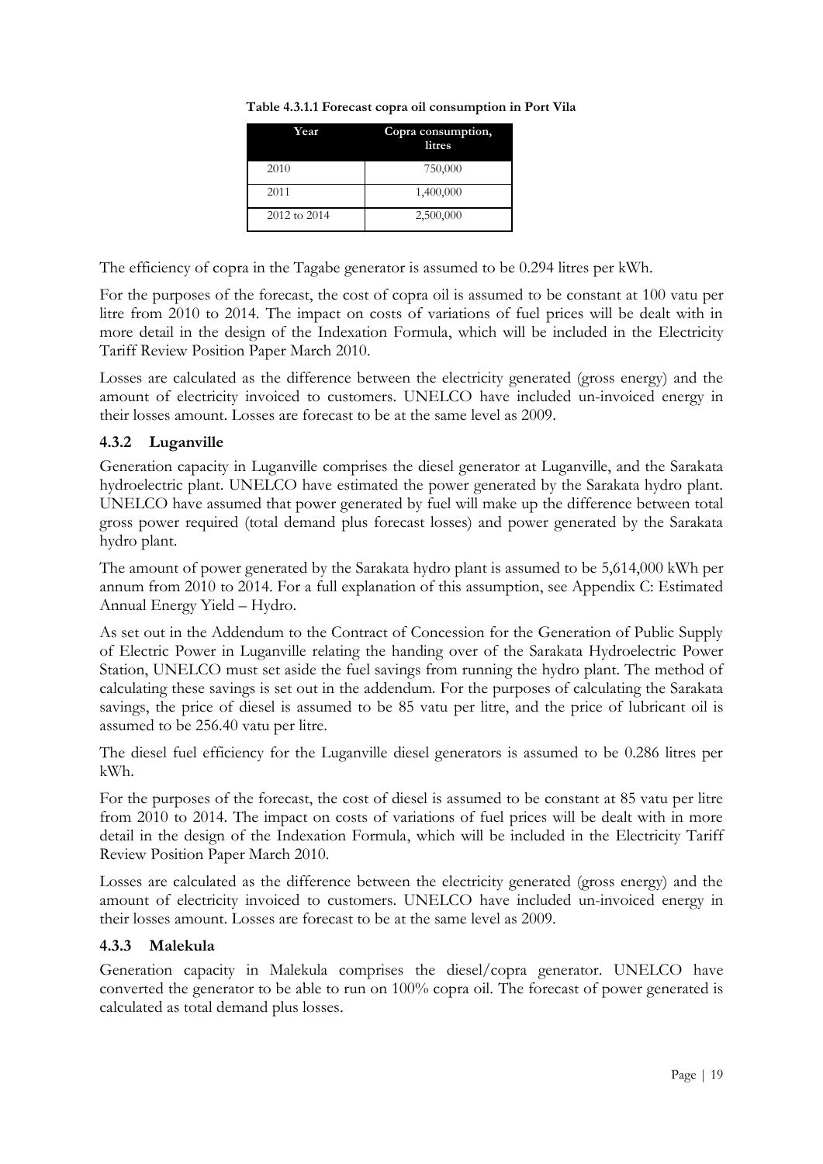| Year         | Copra consumption,<br>litres |
|--------------|------------------------------|
| 2010         | 750,000                      |
| 2011         | 1,400,000                    |
| 2012 to 2014 | 2,500,000                    |

**Table 4.3.1.1 Forecast copra oil consumption in Port Vila**

The efficiency of copra in the Tagabe generator is assumed to be 0.294 litres per kWh.

For the purposes of the forecast, the cost of copra oil is assumed to be constant at 100 vatu per litre from 2010 to 2014. The impact on costs of variations of fuel prices will be dealt with in more detail in the design of the Indexation Formula, which will be included in the Electricity Tariff Review Position Paper March 2010.

Losses are calculated as the difference between the electricity generated (gross energy) and the amount of electricity invoiced to customers. UNELCO have included un-invoiced energy in their losses amount. Losses are forecast to be at the same level as 2009.

#### **4.3.2 Luganville**

Generation capacity in Luganville comprises the diesel generator at Luganville, and the Sarakata hydroelectric plant. UNELCO have estimated the power generated by the Sarakata hydro plant. UNELCO have assumed that power generated by fuel will make up the difference between total gross power required (total demand plus forecast losses) and power generated by the Sarakata hydro plant.

The amount of power generated by the Sarakata hydro plant is assumed to be 5,614,000 kWh per annum from 2010 to 2014. For a full explanation of this assumption, see Appendix C: Estimated Annual Energy Yield – Hydro.

As set out in the Addendum to the Contract of Concession for the Generation of Public Supply of Electric Power in Luganville relating the handing over of the Sarakata Hydroelectric Power Station, UNELCO must set aside the fuel savings from running the hydro plant. The method of calculating these savings is set out in the addendum. For the purposes of calculating the Sarakata savings, the price of diesel is assumed to be 85 vatu per litre, and the price of lubricant oil is assumed to be 256.40 vatu per litre.

The diesel fuel efficiency for the Luganville diesel generators is assumed to be 0.286 litres per kWh.

For the purposes of the forecast, the cost of diesel is assumed to be constant at 85 vatu per litre from 2010 to 2014. The impact on costs of variations of fuel prices will be dealt with in more detail in the design of the Indexation Formula, which will be included in the Electricity Tariff Review Position Paper March 2010.

Losses are calculated as the difference between the electricity generated (gross energy) and the amount of electricity invoiced to customers. UNELCO have included un-invoiced energy in their losses amount. Losses are forecast to be at the same level as 2009.

#### **4.3.3 Malekula**

Generation capacity in Malekula comprises the diesel/copra generator. UNELCO have converted the generator to be able to run on 100% copra oil. The forecast of power generated is calculated as total demand plus losses.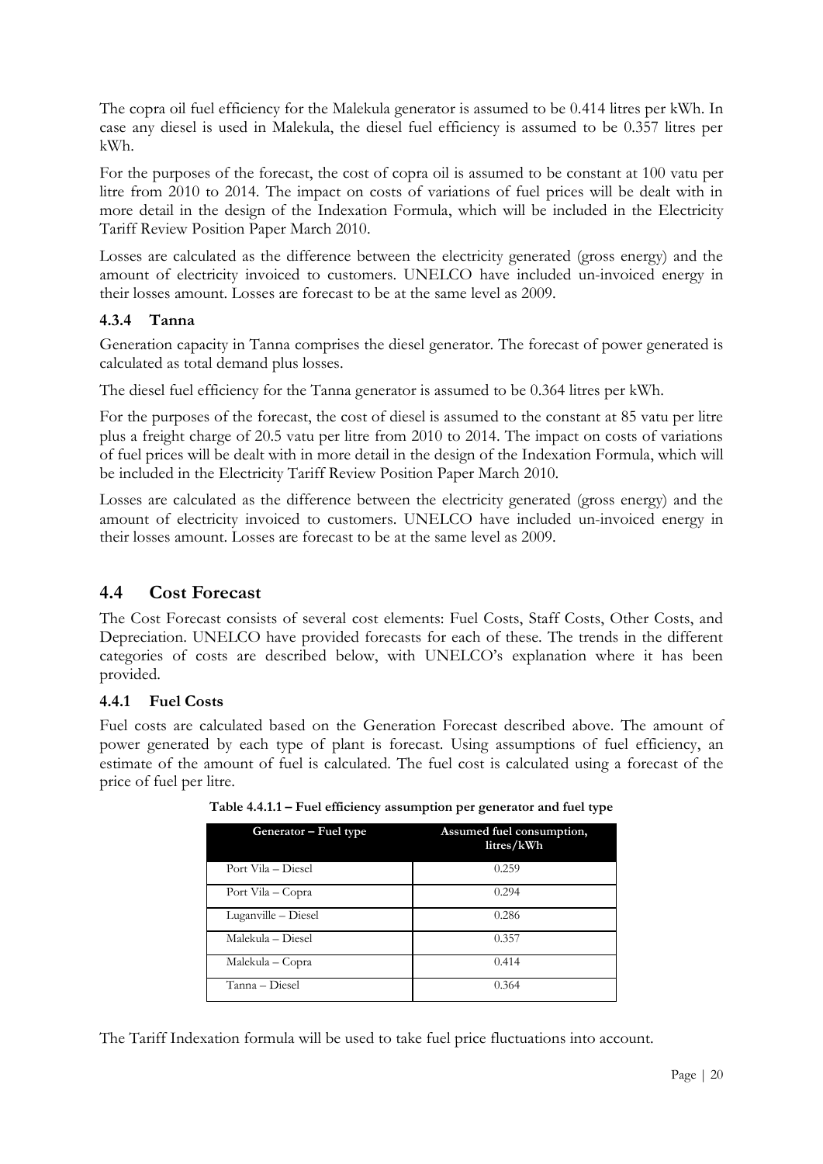The copra oil fuel efficiency for the Malekula generator is assumed to be 0.414 litres per kWh. In case any diesel is used in Malekula, the diesel fuel efficiency is assumed to be 0.357 litres per kWh.

For the purposes of the forecast, the cost of copra oil is assumed to be constant at 100 vatu per litre from 2010 to 2014. The impact on costs of variations of fuel prices will be dealt with in more detail in the design of the Indexation Formula, which will be included in the Electricity Tariff Review Position Paper March 2010.

Losses are calculated as the difference between the electricity generated (gross energy) and the amount of electricity invoiced to customers. UNELCO have included un-invoiced energy in their losses amount. Losses are forecast to be at the same level as 2009.

#### **4.3.4 Tanna**

Generation capacity in Tanna comprises the diesel generator. The forecast of power generated is calculated as total demand plus losses.

The diesel fuel efficiency for the Tanna generator is assumed to be 0.364 litres per kWh.

For the purposes of the forecast, the cost of diesel is assumed to the constant at 85 vatu per litre plus a freight charge of 20.5 vatu per litre from 2010 to 2014. The impact on costs of variations of fuel prices will be dealt with in more detail in the design of the Indexation Formula, which will be included in the Electricity Tariff Review Position Paper March 2010.

Losses are calculated as the difference between the electricity generated (gross energy) and the amount of electricity invoiced to customers. UNELCO have included un-invoiced energy in their losses amount. Losses are forecast to be at the same level as 2009.

#### <span id="page-19-0"></span>**4.4 Cost Forecast**

The Cost Forecast consists of several cost elements: Fuel Costs, Staff Costs, Other Costs, and Depreciation. UNELCO have provided forecasts for each of these. The trends in the different categories of costs are described below, with UNELCO"s explanation where it has been provided.

#### **4.4.1 Fuel Costs**

Fuel costs are calculated based on the Generation Forecast described above. The amount of power generated by each type of plant is forecast. Using assumptions of fuel efficiency, an estimate of the amount of fuel is calculated. The fuel cost is calculated using a forecast of the price of fuel per litre.

| Generator – Fuel type | Assumed fuel consumption,<br>litres/kWh |
|-----------------------|-----------------------------------------|
| Port Vila – Diesel    | 0.259                                   |
| Port Vila – Copra     | 0.294                                   |
| Luganville – Diesel   | 0.286                                   |
| Malekula – Diesel     | 0.357                                   |
| Malekula – Copra      | 0.414                                   |
| Tanna - Diesel        | 0.364                                   |

**Table 4.4.1.1 – Fuel efficiency assumption per generator and fuel type**

The Tariff Indexation formula will be used to take fuel price fluctuations into account.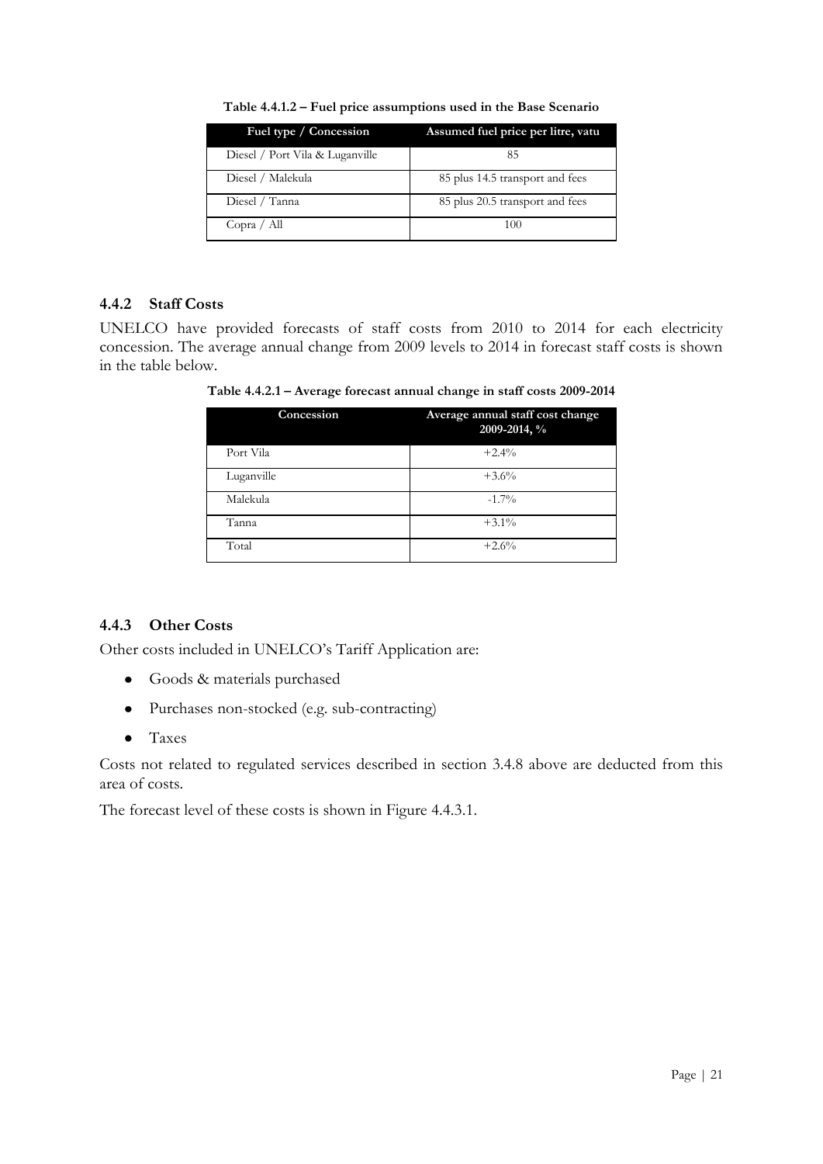| Fuel type / Concession          | Assumed fuel price per litre, vatu |
|---------------------------------|------------------------------------|
| Diesel / Port Vila & Luganville | 85                                 |
| Diesel / Malekula               | 85 plus 14.5 transport and fees    |
| Diesel / Tanna                  | 85 plus 20.5 transport and fees    |
| Copra / All                     | 100                                |

**Table 4.4.1.2 – Fuel price assumptions used in the Base Scenario**

#### **4.4.2 Staff Costs**

UNELCO have provided forecasts of staff costs from 2010 to 2014 for each electricity concession. The average annual change from 2009 levels to 2014 in forecast staff costs is shown in the table below.

**Table 4.4.2.1 – Average forecast annual change in staff costs 2009-2014**

| Concession | Average annual staff cost change<br>2009-2014, % |
|------------|--------------------------------------------------|
| Port Vila  | $+2.4%$                                          |
| Luganville | $+3.6%$                                          |
| Malekula   | $-1.7\%$                                         |
| Tanna      | $+3.1\%$                                         |
| Total      | $+2.6%$                                          |

#### **4.4.3 Other Costs**

Other costs included in UNELCO"s Tariff Application are:

- Goods & materials purchased
- Purchases non-stocked (e.g. sub-contracting)
- $\bullet$ Taxes

Costs not related to regulated services described in section 3.4.8 above are deducted from this area of costs.

The forecast level of these costs is shown in Figure 4.4.3.1.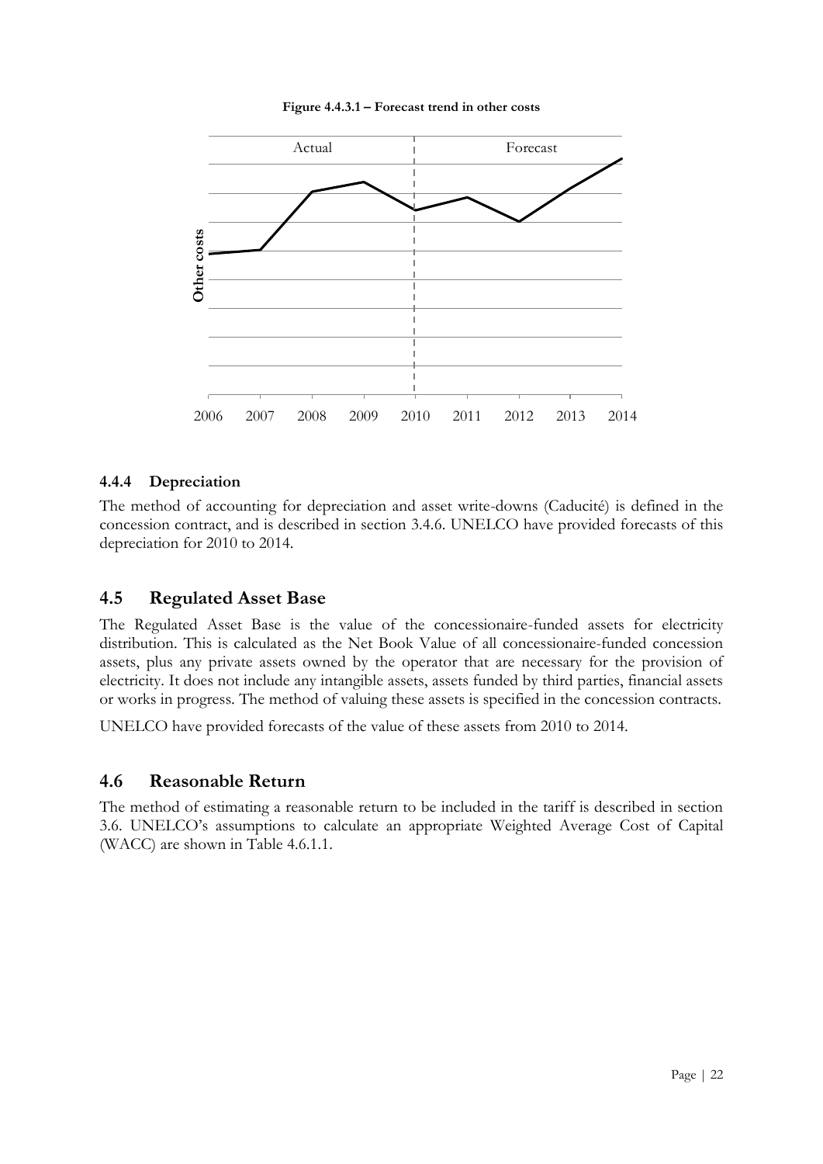

#### **Figure 4.4.3.1 – Forecast trend in other costs**

#### **4.4.4 Depreciation**

The method of accounting for depreciation and asset write-downs (Caducité) is defined in the concession contract, and is described in section 3.4.6. UNELCO have provided forecasts of this depreciation for 2010 to 2014.

#### <span id="page-21-0"></span>**4.5 Regulated Asset Base**

The Regulated Asset Base is the value of the concessionaire-funded assets for electricity distribution. This is calculated as the Net Book Value of all concessionaire-funded concession assets, plus any private assets owned by the operator that are necessary for the provision of electricity. It does not include any intangible assets, assets funded by third parties, financial assets or works in progress. The method of valuing these assets is specified in the concession contracts.

UNELCO have provided forecasts of the value of these assets from 2010 to 2014.

#### <span id="page-21-1"></span>**4.6 Reasonable Return**

The method of estimating a reasonable return to be included in the tariff is described in section 3.6. UNELCO"s assumptions to calculate an appropriate Weighted Average Cost of Capital (WACC) are shown in Table 4.6.1.1.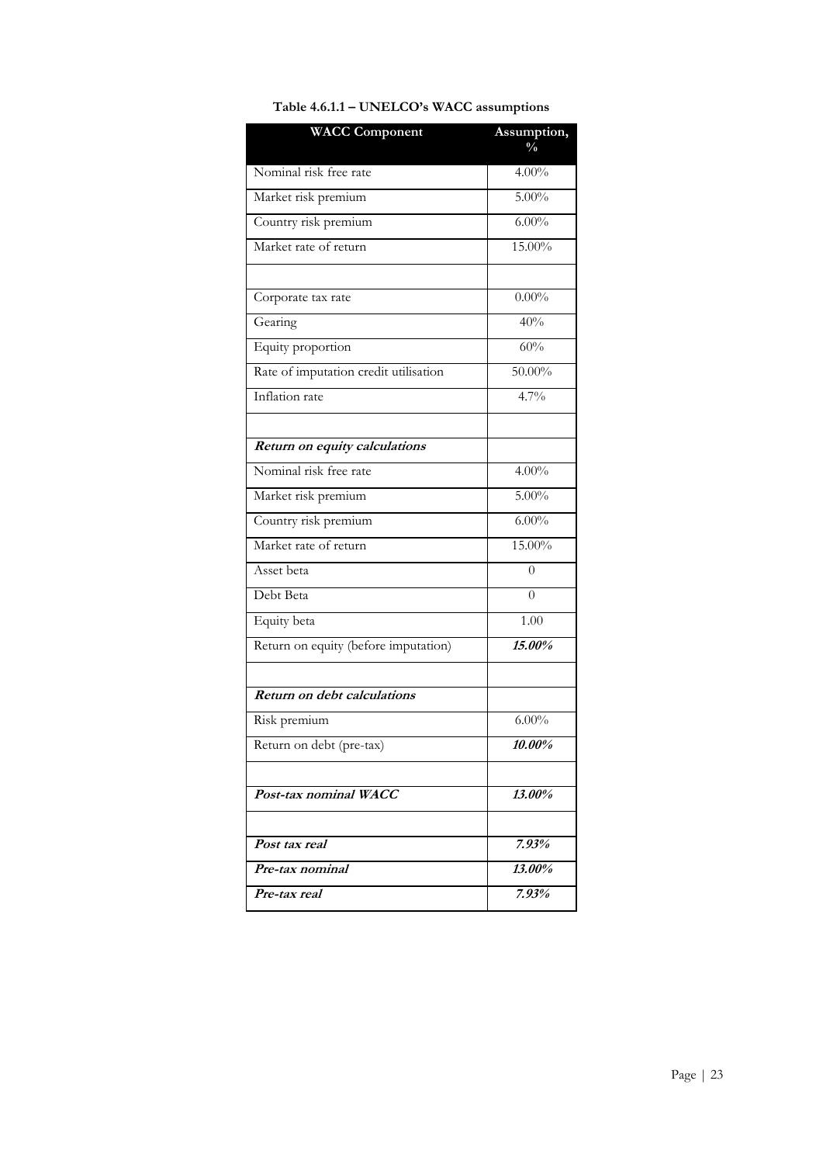| <b>WACC Component</b>                 | Assumption,       |
|---------------------------------------|-------------------|
|                                       | $\frac{0}{0}$     |
| Nominal risk free rate                | 4.00%             |
| Market risk premium                   | $5.00\%$          |
| Country risk premium                  | $6.00\%$          |
| Market rate of return                 | 15.00%            |
|                                       |                   |
| Corporate tax rate                    | $0.00\%$          |
| Gearing                               | 40%               |
| Equity proportion                     | 60%               |
| Rate of imputation credit utilisation | 50.00%            |
| Inflation rate                        | 4.7%              |
| Return on equity calculations         |                   |
| Nominal risk free rate                | $4.00\%$          |
| Market risk premium                   | $5.00\%$          |
| Country risk premium                  | $6.00\%$          |
| Market rate of return                 | 15.00%            |
| Asset beta                            | $\theta$          |
| Debt Beta                             | 0                 |
| Equity beta                           | $\overline{1.00}$ |
| Return on equity (before imputation)  | 15.00%            |
| Return on debt calculations           |                   |
|                                       |                   |
| Risk premium                          | $6.00\%$          |
| Return on debt (pre-tax)              | $10.00\%$         |
| Post-tax nominal WACC                 | 13.00%            |
|                                       |                   |
| Post tax real                         | 7.93%             |
| Pre-tax nominal                       | 13.00%            |
| Pre-tax real                          | 7.93%             |

#### **Table 4.6.1.1 – UNELCO's WACC assumptions**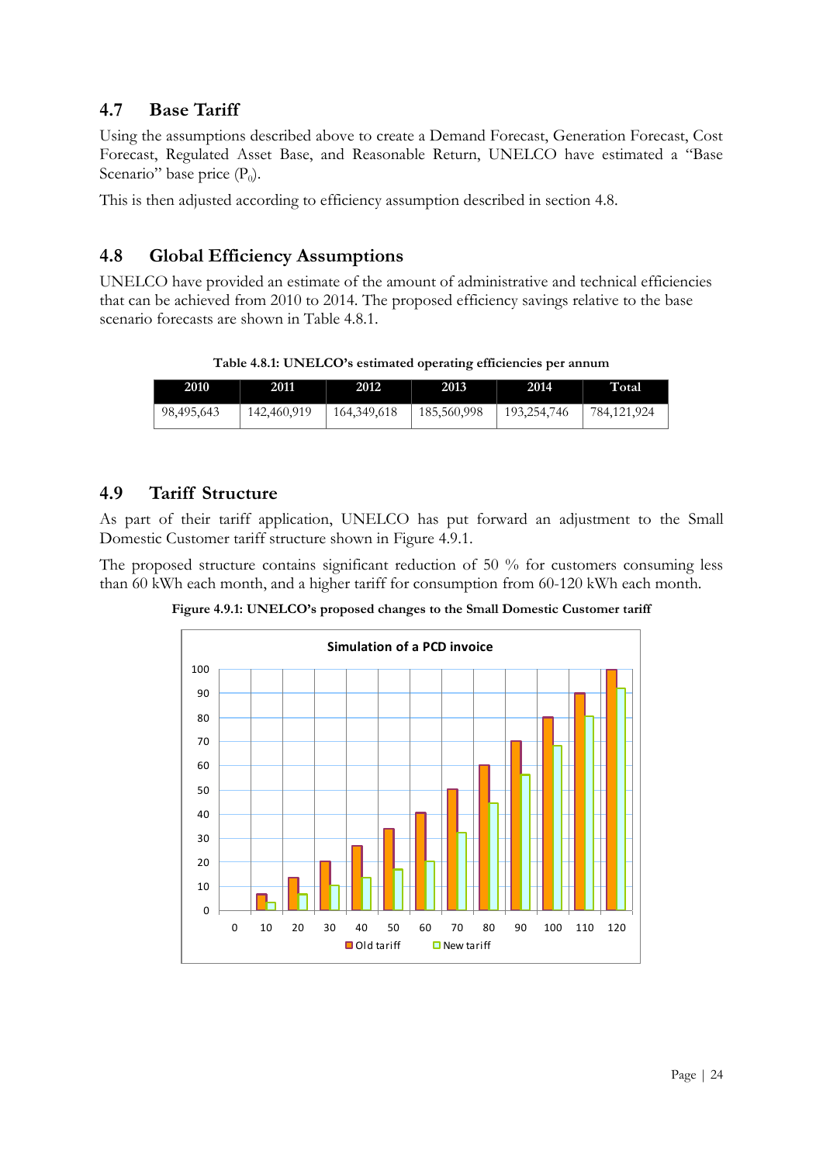#### <span id="page-23-0"></span>**4.7 Base Tariff**

Using the assumptions described above to create a Demand Forecast, Generation Forecast, Cost Forecast, Regulated Asset Base, and Reasonable Return, UNELCO have estimated a "Base Scenario" base price  $(P_0)$ .

This is then adjusted according to efficiency assumption described in section 4.8.

#### <span id="page-23-1"></span>**4.8 Global Efficiency Assumptions**

UNELCO have provided an estimate of the amount of administrative and technical efficiencies that can be achieved from 2010 to 2014. The proposed efficiency savings relative to the base scenario forecasts are shown in Table 4.8.1.

**Table 4.8.1: UNELCO's estimated operating efficiencies per annum**

| 2010       | 2011        | 2012          | 2013        | 2014        | Total       |
|------------|-------------|---------------|-------------|-------------|-------------|
| 98,495,643 | 142,460,919 | 164, 349, 618 | 185,560,998 | 193,254,746 | 784,121,924 |

#### <span id="page-23-2"></span>**4.9 Tariff Structure**

As part of their tariff application, UNELCO has put forward an adjustment to the Small Domestic Customer tariff structure shown in Figure 4.9.1.

The proposed structure contains significant reduction of 50 % for customers consuming less than 60 kWh each month, and a higher tariff for consumption from 60-120 kWh each month.

**Figure 4.9.1: UNELCO's proposed changes to the Small Domestic Customer tariff**

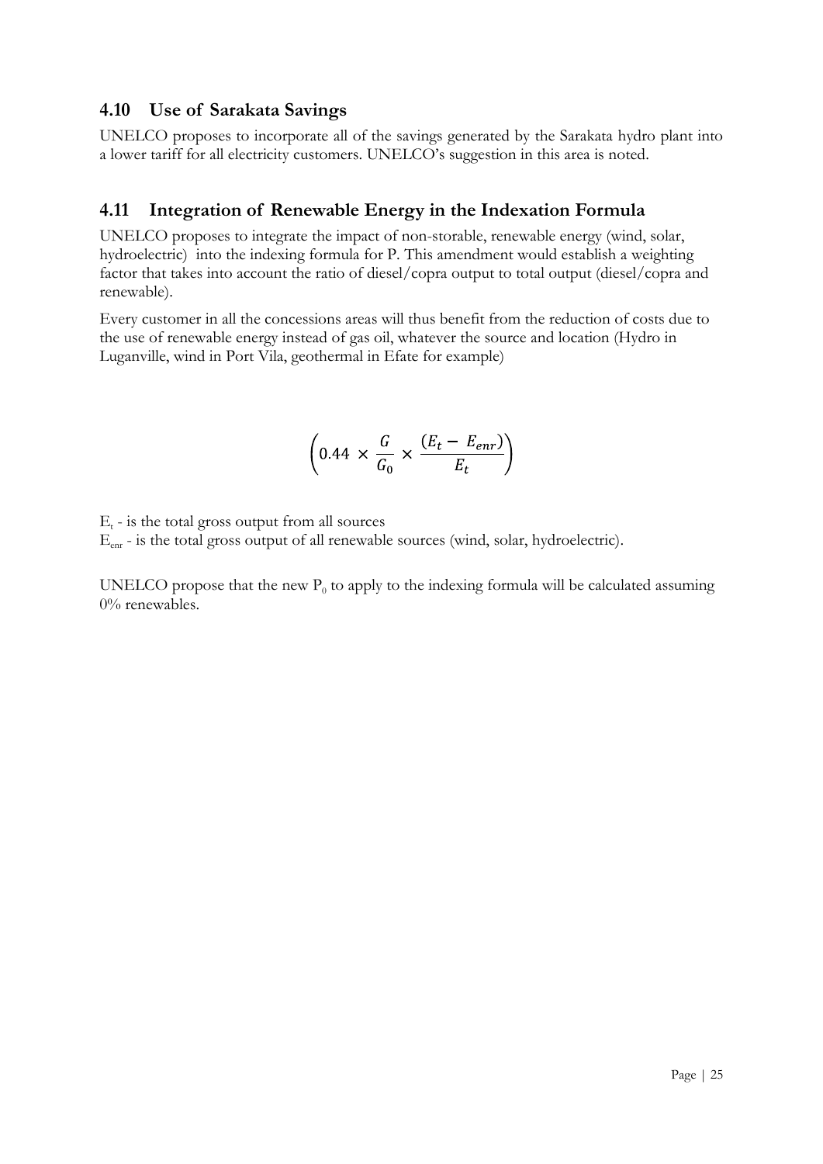#### <span id="page-24-0"></span>**4.10 Use of Sarakata Savings**

UNELCO proposes to incorporate all of the savings generated by the Sarakata hydro plant into a lower tariff for all electricity customers. UNELCO"s suggestion in this area is noted.

#### <span id="page-24-1"></span>**4.11 Integration of Renewable Energy in the Indexation Formula**

UNELCO proposes to integrate the impact of non-storable, renewable energy (wind, solar, hydroelectric) into the indexing formula for P. This amendment would establish a weighting factor that takes into account the ratio of diesel/copra output to total output (diesel/copra and renewable).

Every customer in all the concessions areas will thus benefit from the reduction of costs due to the use of renewable energy instead of gas oil, whatever the source and location (Hydro in Luganville, wind in Port Vila, geothermal in Efate for example)

$$
\left(0.44 \times \frac{G}{G_0} \times \frac{(E_t - E_{enr})}{E_t}\right)
$$

 $E_t$  - is the total gross output from all sources

 $E_{\text{enr}}$  - is the total gross output of all renewable sources (wind, solar, hydroelectric).

UNELCO propose that the new  $P_0$  to apply to the indexing formula will be calculated assuming 0% renewables.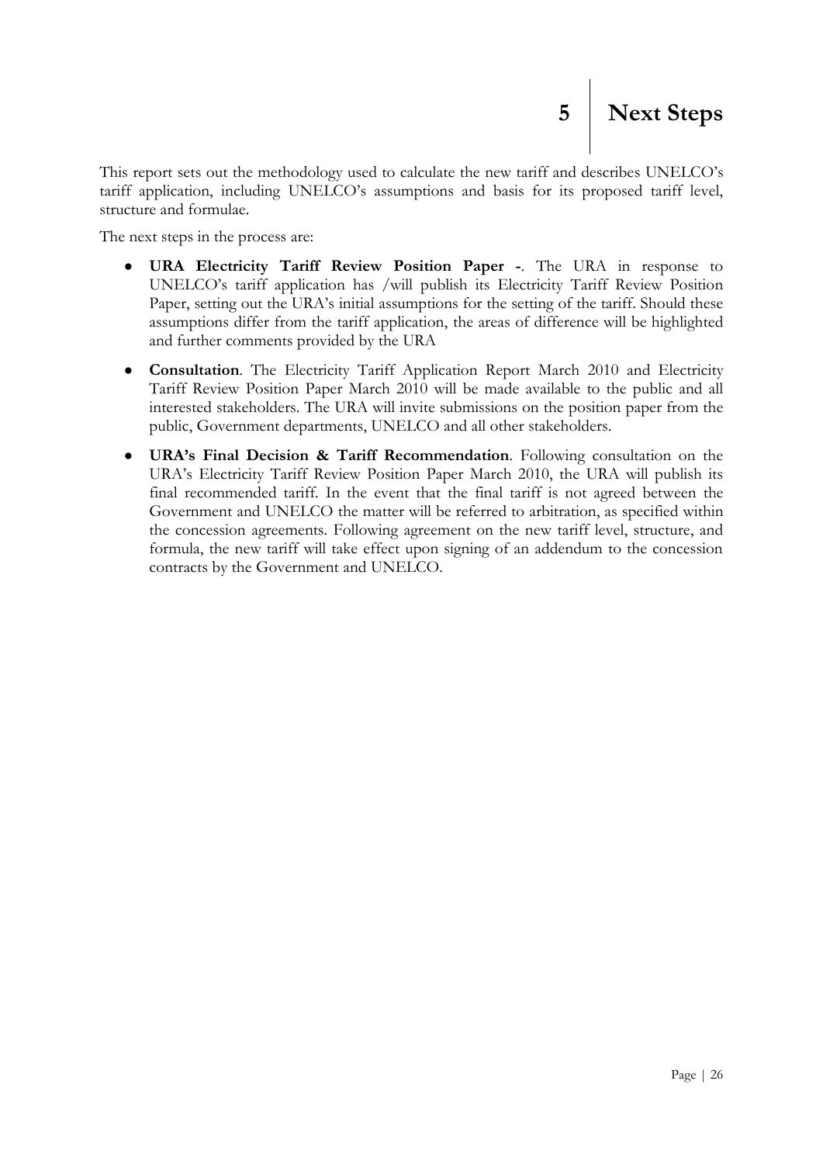This report sets out the methodology used to calculate the new tariff and describes UNELCO"s tariff application, including UNELCO"s assumptions and basis for its proposed tariff level, structure and formulae.

The next steps in the process are:

- <span id="page-25-0"></span>**URA Electricity Tariff Review Position Paper -**. The URA in response to  $\bullet$ UNELCO"s tariff application has /will publish its Electricity Tariff Review Position Paper, setting out the URA's initial assumptions for the setting of the tariff. Should these assumptions differ from the tariff application, the areas of difference will be highlighted and further comments provided by the URA
- **Consultation**. The Electricity Tariff Application Report March 2010 and Electricity  $\bullet$ Tariff Review Position Paper March 2010 will be made available to the public and all interested stakeholders. The URA will invite submissions on the position paper from the public, Government departments, UNELCO and all other stakeholders.
- **URA's Final Decision & Tariff Recommendation**. Following consultation on the  $\bullet$ URA"s Electricity Tariff Review Position Paper March 2010, the URA will publish its final recommended tariff. In the event that the final tariff is not agreed between the Government and UNELCO the matter will be referred to arbitration, as specified within the concession agreements. Following agreement on the new tariff level, structure, and formula, the new tariff will take effect upon signing of an addendum to the concession contracts by the Government and UNELCO.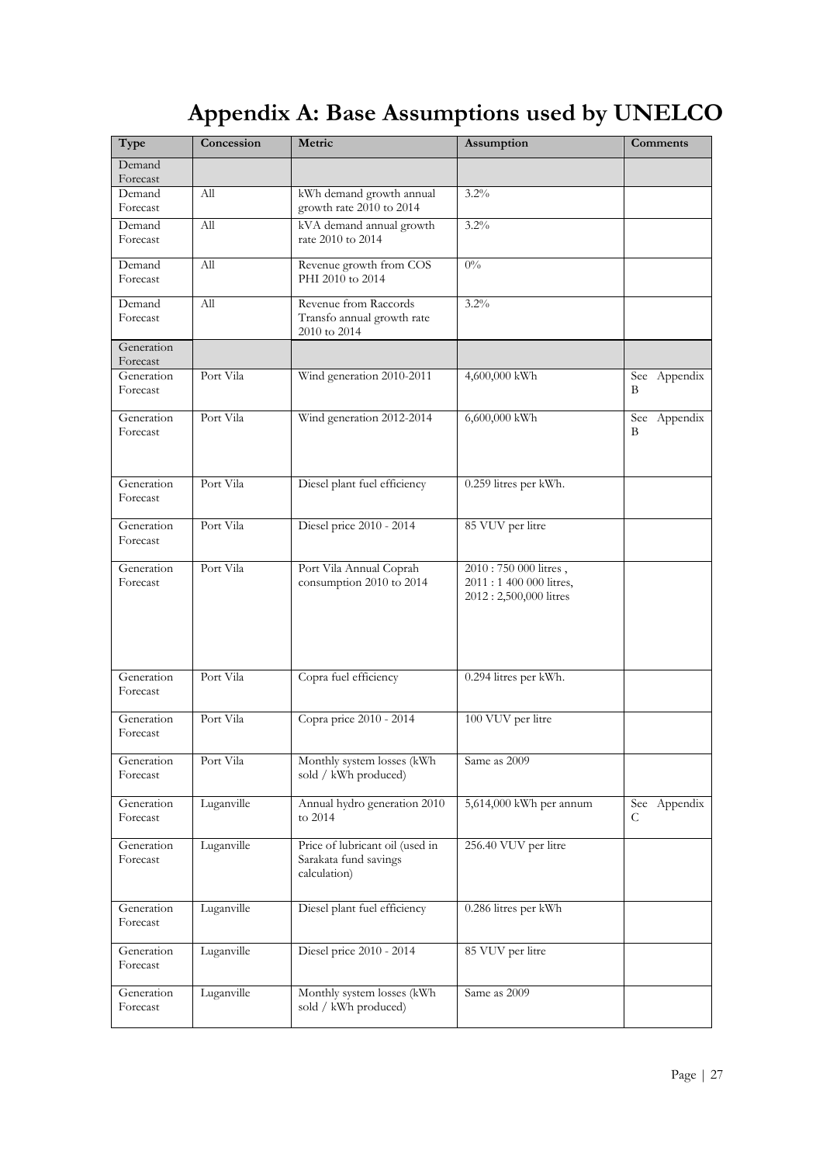## **Appendix A: Base Assumptions used by UNELCO**

<span id="page-26-0"></span>

| Type                   | Concession | Metric                                                                   | Assumption                                                                | Comments          |
|------------------------|------------|--------------------------------------------------------------------------|---------------------------------------------------------------------------|-------------------|
| Demand<br>Forecast     |            |                                                                          |                                                                           |                   |
| Demand<br>Forecast     | All        | kWh demand growth annual<br>growth rate 2010 to 2014                     | 3.2%                                                                      |                   |
| Demand<br>Forecast     | All        | kVA demand annual growth<br>rate 2010 to 2014                            | 3.2%                                                                      |                   |
| Demand<br>Forecast     | All        | Revenue growth from COS<br>PHI 2010 to 2014                              | $0\%$                                                                     |                   |
| Demand<br>Forecast     | All        | Revenue from Raccords<br>Transfo annual growth rate<br>2010 to 2014      | $3.2\%$                                                                   |                   |
| Generation<br>Forecast |            |                                                                          |                                                                           |                   |
| Generation<br>Forecast | Port Vila  | Wind generation 2010-2011                                                | 4,600,000 kWh                                                             | See Appendix<br>В |
| Generation<br>Forecast | Port Vila  | Wind generation 2012-2014                                                | 6,600,000 kWh                                                             | See Appendix<br>В |
| Generation<br>Forecast | Port Vila  | Diesel plant fuel efficiency                                             | 0.259 litres per kWh.                                                     |                   |
| Generation<br>Forecast | Port Vila  | Diesel price 2010 - 2014                                                 | 85 VUV per litre                                                          |                   |
| Generation<br>Forecast | Port Vila  | Port Vila Annual Coprah<br>consumption 2010 to 2014                      | 2010: 750 000 litres,<br>2011:1 400 000 litres,<br>2012: 2,500,000 litres |                   |
| Generation<br>Forecast | Port Vila  | Copra fuel efficiency                                                    | 0.294 litres per kWh.                                                     |                   |
| Generation<br>Forecast | Port Vila  | Copra price 2010 - 2014                                                  | 100 VUV per litre                                                         |                   |
| Generation<br>Forecast | Port Vila  | Monthly system losses (kWh<br>sold / kWh produced)                       | Same as 2009                                                              |                   |
| Generation<br>Forecast | Luganville | Annual hydro generation 2010<br>to 2014                                  | 5,614,000 kWh per annum                                                   | See Appendix<br>C |
| Generation<br>Forecast | Luganville | Price of lubricant oil (used in<br>Sarakata fund savings<br>calculation) | 256.40 VUV per litre                                                      |                   |
| Generation<br>Forecast | Luganville | Diesel plant fuel efficiency                                             | 0.286 litres per kWh                                                      |                   |
| Generation<br>Forecast | Luganville | Diesel price 2010 - 2014                                                 | 85 VUV per litre                                                          |                   |
| Generation<br>Forecast | Luganville | Monthly system losses (kWh<br>sold / kWh produced)                       | Same as 2009                                                              |                   |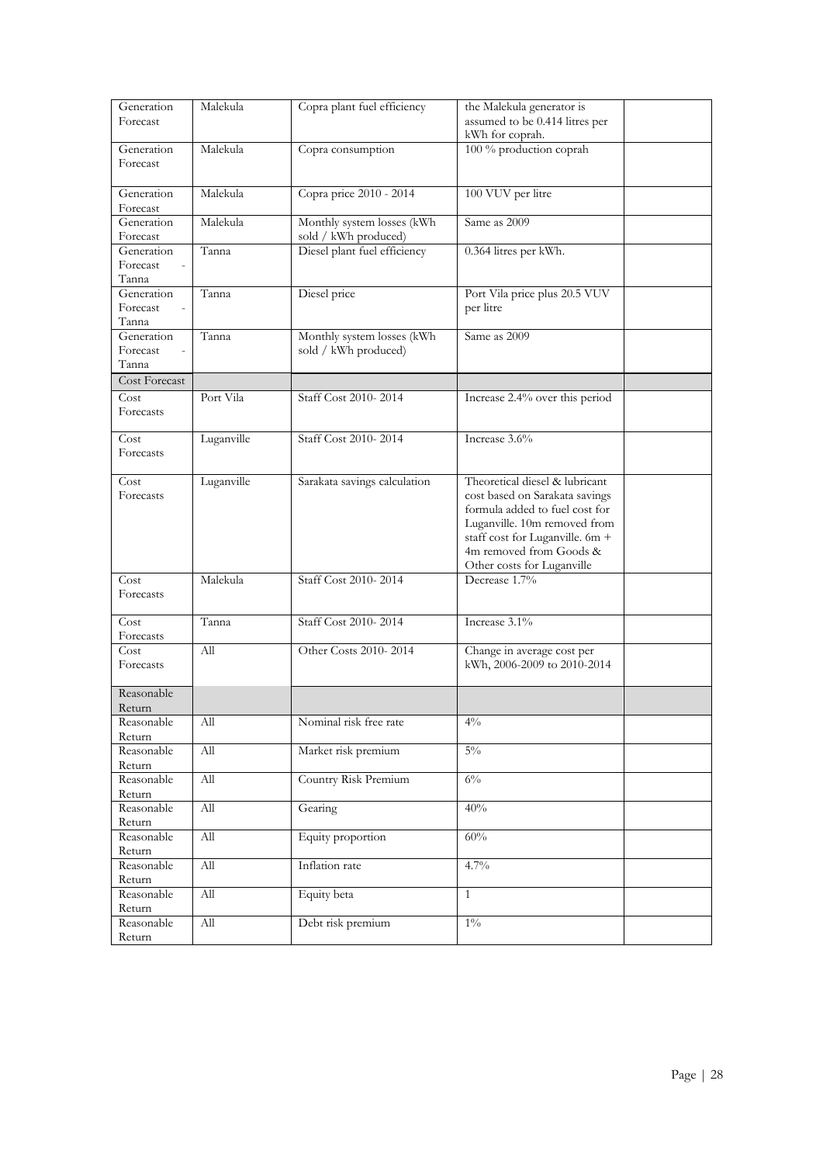| Generation<br>Forecast                           | Malekula   | Copra plant fuel efficiency                        | the Malekula generator is<br>assumed to be 0.414 litres per<br>kWh for coprah.                                                                                                                                                 |  |
|--------------------------------------------------|------------|----------------------------------------------------|--------------------------------------------------------------------------------------------------------------------------------------------------------------------------------------------------------------------------------|--|
| Generation<br>Forecast                           | Malekula   | Copra consumption                                  | 100 % production coprah                                                                                                                                                                                                        |  |
| Generation<br>Forecast                           | Malekula   | Copra price 2010 - 2014                            | 100 VUV per litre                                                                                                                                                                                                              |  |
| Generation<br>Forecast                           | Malekula   | Monthly system losses (kWh<br>sold / kWh produced) | Same as 2009                                                                                                                                                                                                                   |  |
| Generation<br>Forecast<br>Tanna                  | Tanna      | Diesel plant fuel efficiency                       | 0.364 litres per kWh.                                                                                                                                                                                                          |  |
| Generation<br>Forecast<br>$\mathcal{L}$<br>Tanna | Tanna      | Diesel price                                       | Port Vila price plus 20.5 VUV<br>per litre                                                                                                                                                                                     |  |
| Generation<br>Forecast<br>$\sim$<br>Tanna        | Tanna      | Monthly system losses (kWh<br>sold / kWh produced) | Same as 2009                                                                                                                                                                                                                   |  |
| Cost Forecast                                    |            |                                                    |                                                                                                                                                                                                                                |  |
| Cost<br>Forecasts                                | Port Vila  | Staff Cost 2010-2014                               | Increase 2.4% over this period                                                                                                                                                                                                 |  |
| Cost<br>Forecasts                                | Luganville | Staff Cost 2010-2014                               | Increase 3.6%                                                                                                                                                                                                                  |  |
| Cost<br>Forecasts                                | Luganville | Sarakata savings calculation                       | Theoretical diesel & lubricant<br>cost based on Sarakata savings<br>formula added to fuel cost for<br>Luganville. 10m removed from<br>staff cost for Luganville. 6m +<br>4m removed from Goods &<br>Other costs for Luganville |  |
| Cost<br>Forecasts                                | Malekula   | Staff Cost 2010-2014                               | Decrease 1.7%                                                                                                                                                                                                                  |  |
| Cost<br>Forecasts                                | Tanna      | Staff Cost 2010-2014                               | Increase 3.1%                                                                                                                                                                                                                  |  |
| Cost<br>Forecasts                                | All        | Other Costs 2010-2014                              | Change in average cost per<br>kWh, 2006-2009 to 2010-2014                                                                                                                                                                      |  |
| Reasonable<br>Return                             |            |                                                    |                                                                                                                                                                                                                                |  |
| Reasonable<br>Return                             | All        | Nominal risk free rate                             | $4\%$                                                                                                                                                                                                                          |  |
| Reasonable<br>Return                             | All        | Market risk premium                                | $5\%$                                                                                                                                                                                                                          |  |
| Reasonable<br>Return                             | All        | Country Risk Premium                               | $6\%$                                                                                                                                                                                                                          |  |
| Reasonable<br>Return                             | All        | Gearing                                            | 40%                                                                                                                                                                                                                            |  |
| Reasonable<br>Return                             | All        | Equity proportion                                  | 60%                                                                                                                                                                                                                            |  |
| Reasonable<br>Return                             | All        | Inflation rate                                     | 4.7%                                                                                                                                                                                                                           |  |
| Reasonable<br>Return                             | All        | Equity beta                                        | $\mathbf{1}$                                                                                                                                                                                                                   |  |
| Reasonable<br>Return                             | All        | Debt risk premium                                  | $1\%$                                                                                                                                                                                                                          |  |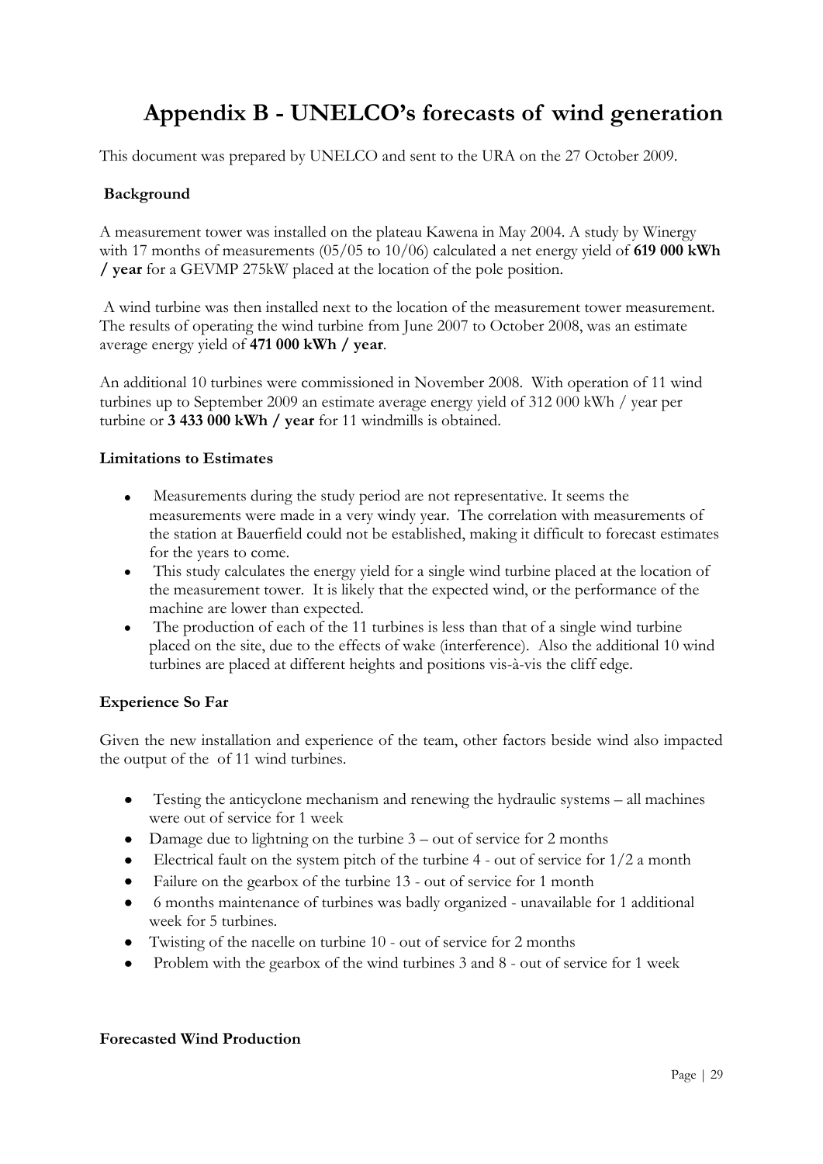### **Appendix B - UNELCO's forecasts of wind generation**

<span id="page-28-0"></span>This document was prepared by UNELCO and sent to the URA on the 27 October 2009.

#### **Background**

A measurement tower was installed on the plateau Kawena in May 2004. A study by Winergy with 17 months of measurements (05/05 to 10/06) calculated a net energy yield of **619 000 kWh / year** for a GEVMP 275kW placed at the location of the pole position.

A wind turbine was then installed next to the location of the measurement tower measurement. The results of operating the wind turbine from June 2007 to October 2008, was an estimate average energy yield of **471 000 kWh / year**.

An additional 10 turbines were commissioned in November 2008. With operation of 11 wind turbines up to September 2009 an estimate average energy yield of 312 000 kWh / year per turbine or **3 433 000 kWh / year** for 11 windmills is obtained.

#### **Limitations to Estimates**

- Measurements during the study period are not representative. It seems the  $\bullet$ measurements were made in a very windy year. The correlation with measurements of the station at Bauerfield could not be established, making it difficult to forecast estimates for the years to come.
- This study calculates the energy yield for a single wind turbine placed at the location of the measurement tower. It is likely that the expected wind, or the performance of the machine are lower than expected.
- The production of each of the 11 turbines is less than that of a single wind turbine placed on the site, due to the effects of wake (interference). Also the additional 10 wind turbines are placed at different heights and positions vis-à-vis the cliff edge.

#### **Experience So Far**

Given the new installation and experience of the team, other factors beside wind also impacted the output of the of 11 wind turbines.

- Testing the anticyclone mechanism and renewing the hydraulic systems all machines  $\bullet$ were out of service for 1 week
- Damage due to lightning on the turbine  $3$  out of service for 2 months
- Electrical fault on the system pitch of the turbine 4 out of service for 1/2 a month
- $\bullet$ Failure on the gearbox of the turbine 13 - out of service for 1 month
- 6 months maintenance of turbines was badly organized unavailable for 1 additional  $\bullet$ week for 5 turbines.
- Twisting of the nacelle on turbine 10 out of service for 2 months
- Problem with the gearbox of the wind turbines 3 and 8 out of service for 1 week

#### **Forecasted Wind Production**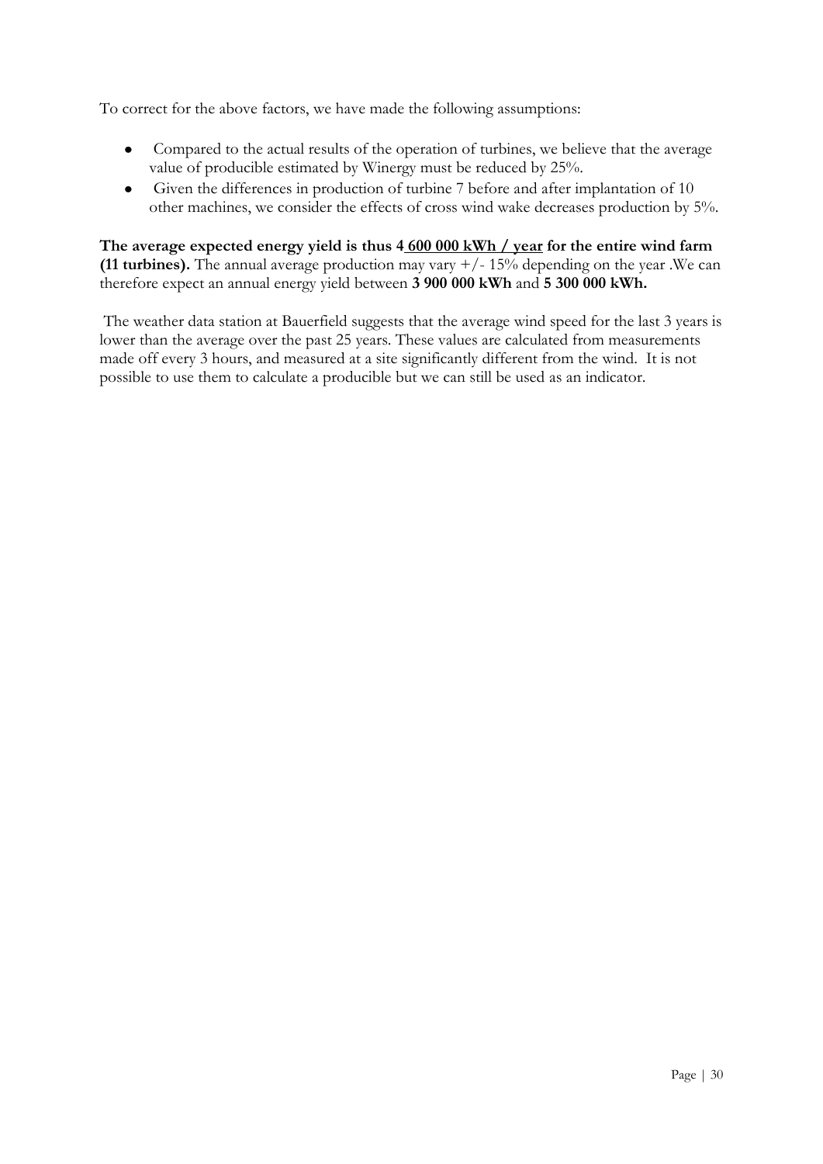To correct for the above factors, we have made the following assumptions:

- Compared to the actual results of the operation of turbines, we believe that the average value of producible estimated by Winergy must be reduced by 25%.
- Given the differences in production of turbine 7 before and after implantation of 10  $\bullet$ other machines, we consider the effects of cross wind wake decreases production by 5%.

**The average expected energy yield is thus 4 600 000 kWh / year for the entire wind farm (11 turbines).** The annual average production may vary  $+/-15%$  depending on the year .We can therefore expect an annual energy yield between **3 900 000 kWh** and **5 300 000 kWh.**

The weather data station at Bauerfield suggests that the average wind speed for the last 3 years is lower than the average over the past 25 years. These values are calculated from measurements made off every 3 hours, and measured at a site significantly different from the wind. It is not possible to use them to calculate a producible but we can still be used as an indicator.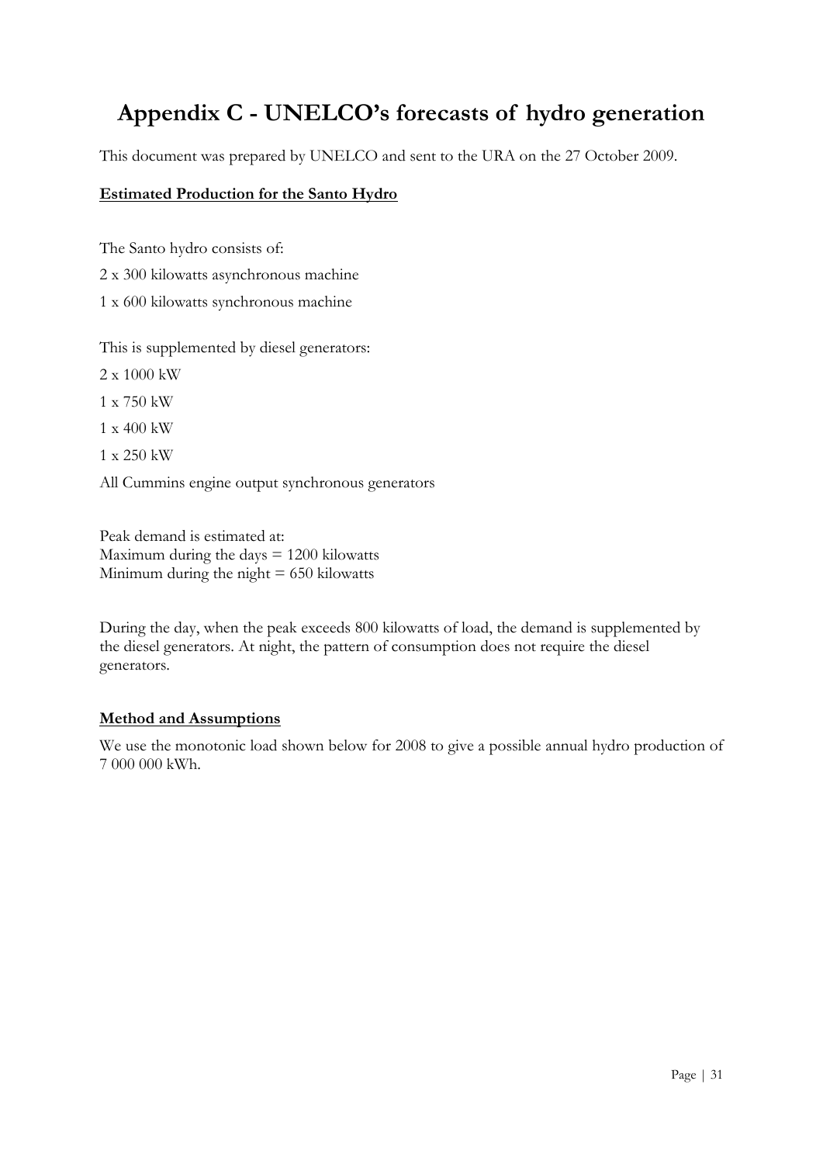## <span id="page-30-0"></span>**Appendix C - UNELCO's forecasts of hydro generation**

This document was prepared by UNELCO and sent to the URA on the 27 October 2009.

#### **Estimated Production for the Santo Hydro**

The Santo hydro consists of: 2 x 300 kilowatts asynchronous machine 1 x 600 kilowatts synchronous machine

This is supplemented by diesel generators:

- 2 x 1000 kW
- 1 x 750 kW

1 x 400 kW

1 x 250 kW

All Cummins engine output synchronous generators

Peak demand is estimated at: Maximum during the days  $= 1200$  kilowatts Minimum during the night  $= 650$  kilowatts

During the day, when the peak exceeds 800 kilowatts of load, the demand is supplemented by the diesel generators. At night, the pattern of consumption does not require the diesel generators.

#### **Method and Assumptions**

We use the monotonic load shown below for 2008 to give a possible annual hydro production of 7 000 000 kWh.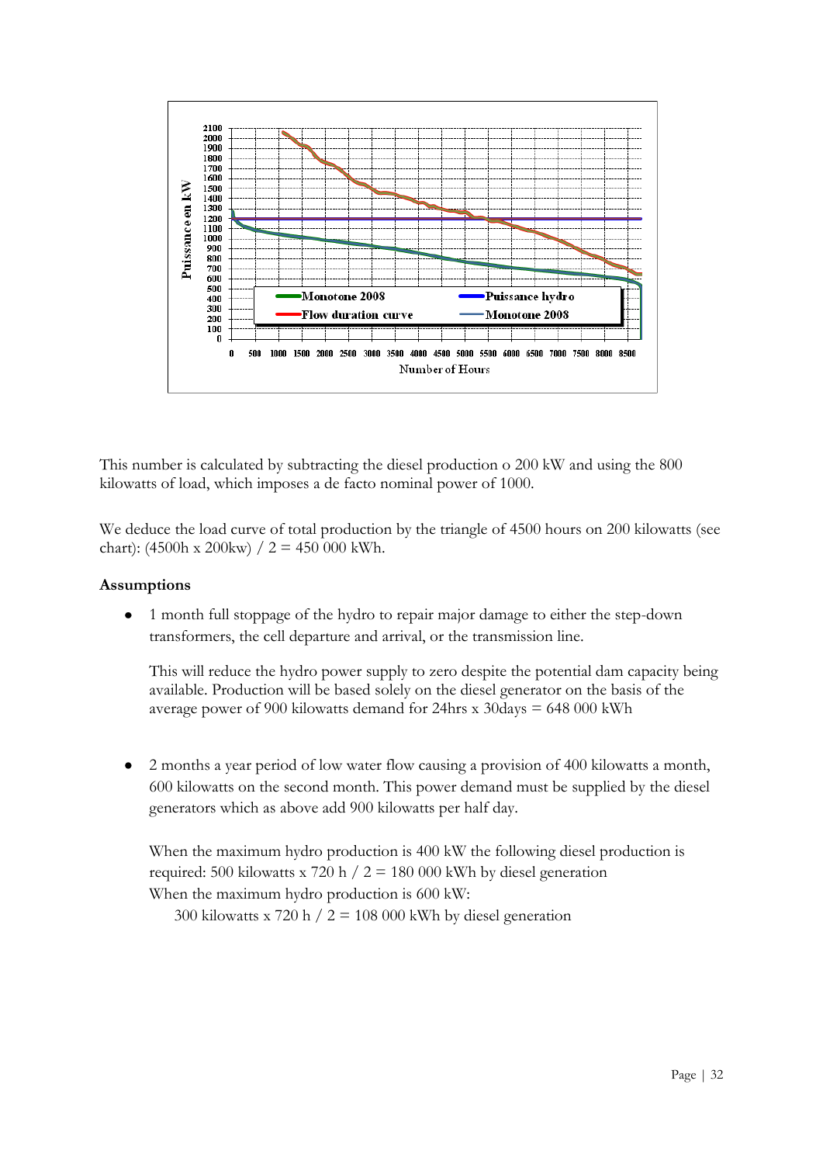

This number is calculated by subtracting the diesel production o 200 kW and using the 800 kilowatts of load, which imposes a de facto nominal power of 1000.

We deduce the load curve of total production by the triangle of 4500 hours on 200 kilowatts (see chart): (4500h x 200kw) /  $2 = 450000$  kWh.

#### **Assumptions**

 $\bullet$ 1 month full stoppage of the hydro to repair major damage to either the step-down transformers, the cell departure and arrival, or the transmission line.

This will reduce the hydro power supply to zero despite the potential dam capacity being available. Production will be based solely on the diesel generator on the basis of the average power of 900 kilowatts demand for 24hrs x 30days = 648 000 kWh

2 months a year period of low water flow causing a provision of 400 kilowatts a month,  $\bullet$ 600 kilowatts on the second month. This power demand must be supplied by the diesel generators which as above add 900 kilowatts per half day.

When the maximum hydro production is 400 kW the following diesel production is required: 500 kilowatts x 720 h  $/ 2 = 180 000$  kWh by diesel generation When the maximum hydro production is 600 kW:

300 kilowatts x 720 h  $/ 2 = 108000$  kWh by diesel generation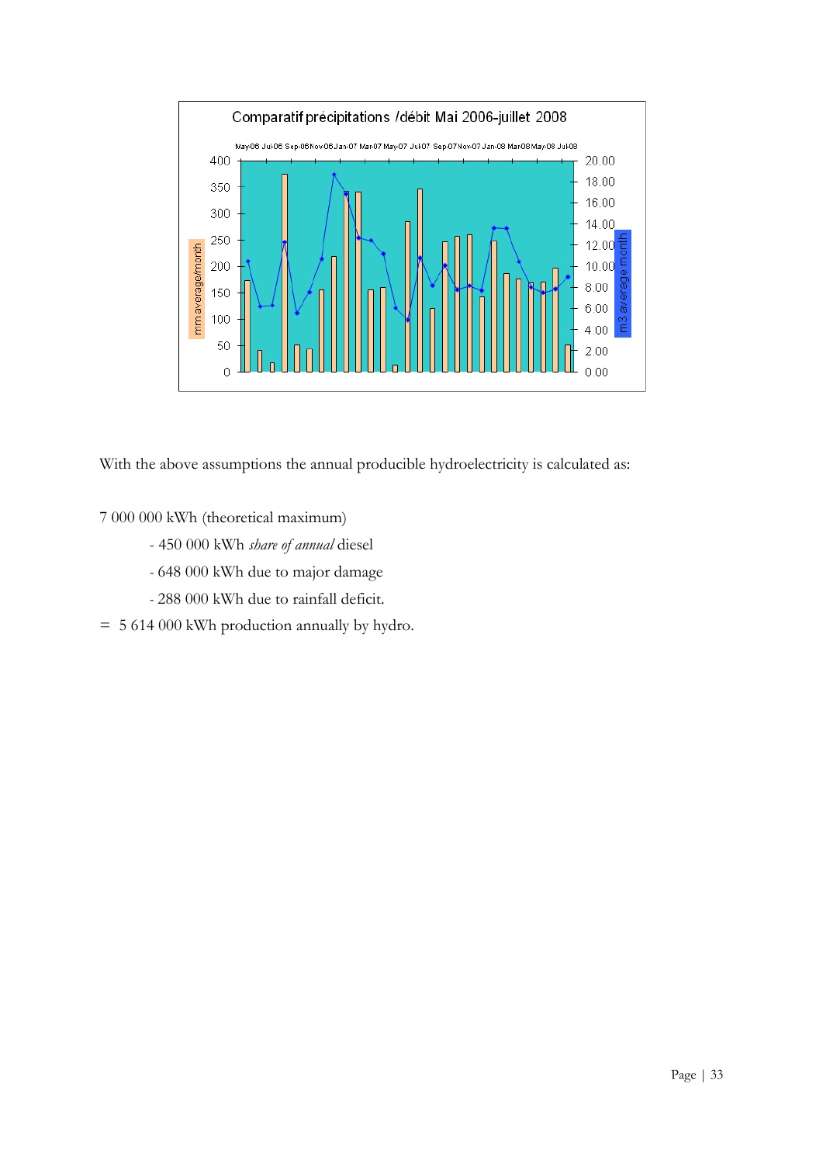

With the above assumptions the annual producible hydroelectricity is calculated as:

7 000 000 kWh (theoretical maximum)

- 450 000 kWh *share of annual* diesel
- *-* 648 000 kWh due to major damage
- *-* 288 000 kWh due to rainfall deficit.
- = 5 614 000 kWh production annually by hydro.